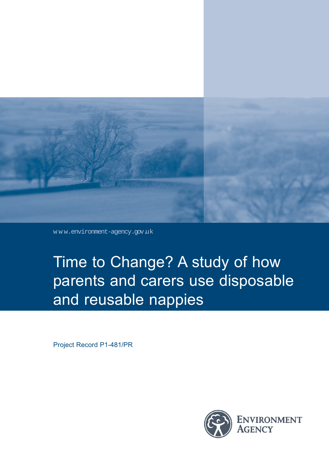

w w w.environment-agency.gov.uk

Time to Change? A study of how parents and carers use disposable and reusable nappies

Project Record P1-481/PR

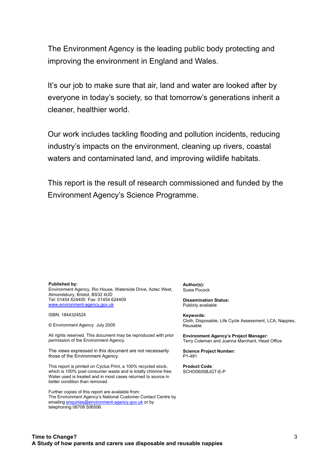The Environment Agency is the leading public body protecting and improving the environment in England and Wales.

It's our job to make sure that air, land and water are looked after by everyone in today's society, so that tomorrow's generations inherit a cleaner, healthier world.

Our work includes tackling flooding and pollution incidents, reducing industry's impacts on the environment, cleaning up rivers, coastal waters and contaminated land, and improving wildlife habitats.

This report is the result of research commissioned and funded by the Environment Agency's Science Programme.

#### **Published by:**

Environment Agency, Rio House, Waterside Drive, Aztec West, Almondsbury, Bristol, BS32 4UD Tel: 01454 624400 Fax: 01454 624409 www.environment-agency.gov.uk

ISBN: 1844324524

© Environment Agency July 2005

All rights reserved. This document may be reproduced with prior permission of the Environment Agency.

The views expressed in this document are not necessarily those of the Environment Agency.

This report is printed on Cyclus Print, a 100% recycled stock, which is 100% post consumer waste and is totally chlorine free. Water used is treated and in most cases returned to source in better condition than removed.

Further copies of this report are available from: The Environment Agency's National Customer Contact Centre by emailing enquiries@environment-agency.gov.uk or by telephoning 08708 506506.

**Author(s):** Susie Pocock

**Dissemination Status:** Publicly available

**Keywords:** Cloth, Disposable, Life Cycle Assessment, LCA, Nappies, Reusable

**Environment Agency's Project Manager:** Terry Coleman and Joanna Marchant, Head Office

**Science Project Number:** P1-481

**Product Code**: SCHO0605BJGT-E-P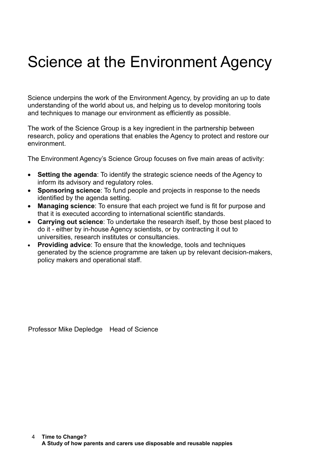# Science at the Environment Agency

Science underpins the work of the Environment Agency, by providing an up to date understanding of the world about us, and helping us to develop monitoring tools and techniques to manage our environment as efficiently as possible.

The work of the Science Group is a key ingredient in the partnership between research, policy and operations that enables the Agency to protect and restore our environment.

The Environment Agency's Science Group focuses on five main areas of activity:

- **Setting the agenda**: To identify the strategic science needs of the Agency to inform its advisory and regulatory roles.
- **Sponsoring science**: To fund people and projects in response to the needs identified by the agenda setting.
- **Managing science**: To ensure that each project we fund is fit for purpose and that it is executed according to international scientific standards.
- **Carrying out science**: To undertake the research itself, by those best placed to do it - either by in-house Agency scientists, or by contracting it out to universities, research institutes or consultancies.
- **Providing advice**: To ensure that the knowledge, tools and techniques generated by the science programme are taken up by relevant decision-makers, policy makers and operational staff.

Professor Mike Depledge Head of Science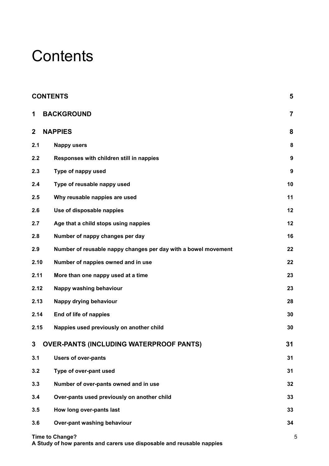# **Contents**

|              | <b>CONTENTS</b>                                                | 5              |
|--------------|----------------------------------------------------------------|----------------|
| 1            | <b>BACKGROUND</b>                                              | $\overline{7}$ |
| $\mathbf{2}$ | <b>NAPPIES</b>                                                 | 8              |
| 2.1          | <b>Nappy users</b>                                             | 8              |
| 2.2          | Responses with children still in nappies                       | 9              |
| 2.3          | Type of nappy used                                             | 9              |
| 2.4          | Type of reusable nappy used                                    | 10             |
| 2.5          | Why reusable nappies are used                                  | 11             |
| 2.6          | Use of disposable nappies                                      | 12             |
| 2.7          | Age that a child stops using nappies                           | 12             |
| 2.8          | Number of nappy changes per day                                | 16             |
| 2.9          | Number of reusable nappy changes per day with a bowel movement | 22             |
| 2.10         | Number of nappies owned and in use                             | 22             |
| 2.11         | More than one nappy used at a time                             | 23             |
| 2.12         | Nappy washing behaviour                                        | 23             |
| 2.13         | Nappy drying behaviour                                         | 28             |
| 2.14         | End of life of nappies                                         | 30             |
| 2.15         | Nappies used previously on another child                       | 30             |
| 3            | <b>OVER-PANTS (INCLUDING WATERPROOF PANTS)</b>                 | 31             |
| 3.1          | <b>Users of over-pants</b>                                     | 31             |
| 3.2          | Type of over-pant used                                         | 31             |
| 3.3          | Number of over-pants owned and in use                          | 32             |
| 3.4          | Over-pants used previously on another child                    | 33             |
| 3.5          | How long over-pants last                                       | 33             |
| 3.6          | Over-pant washing behaviour                                    | 34             |
|              | <b>Time to Change?</b>                                         | 5              |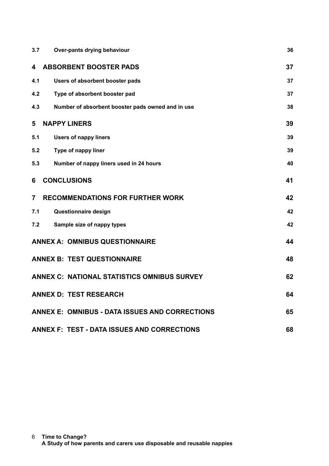| 3.7            | Over-pants drying behaviour                           | 36 |
|----------------|-------------------------------------------------------|----|
| 4              | <b>ABSORBENT BOOSTER PADS</b>                         | 37 |
| 4.1            | Users of absorbent booster pads                       | 37 |
| 4.2            | Type of absorbent booster pad                         | 37 |
| 4.3            | Number of absorbent booster pads owned and in use     | 38 |
| 5              | <b>NAPPY LINERS</b>                                   | 39 |
| 5.1            | <b>Users of nappy liners</b>                          | 39 |
| 5.2            | Type of nappy liner                                   | 39 |
| 5.3            | Number of nappy liners used in 24 hours               | 40 |
| 6              | <b>CONCLUSIONS</b>                                    | 41 |
| $\overline{7}$ | <b>RECOMMENDATIONS FOR FURTHER WORK</b>               | 42 |
| 7.1            | Questionnaire design                                  | 42 |
| 7.2            | Sample size of nappy types                            | 42 |
|                | <b>ANNEX A: OMNIBUS QUESTIONNAIRE</b>                 | 44 |
|                | <b>ANNEX B: TEST QUESTIONNAIRE</b>                    | 48 |
|                | <b>ANNEX C: NATIONAL STATISTICS OMNIBUS SURVEY</b>    | 62 |
|                | <b>ANNEX D: TEST RESEARCH</b>                         | 64 |
|                | <b>ANNEX E: OMNIBUS - DATA ISSUES AND CORRECTIONS</b> | 65 |
|                | <b>ANNEX F: TEST - DATA ISSUES AND CORRECTIONS</b>    | 68 |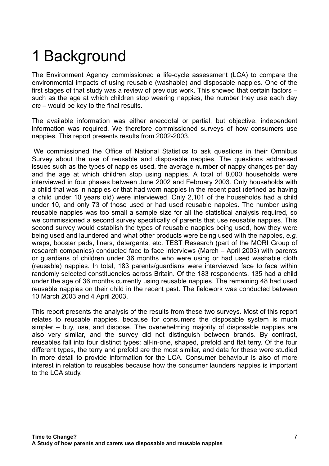# 1 Background

The Environment Agency commissioned a life-cycle assessment (LCA) to compare the environmental impacts of using reusable (washable) and disposable nappies. One of the first stages of that study was a review of previous work. This showed that certain factors – such as the age at which children stop wearing nappies, the number they use each day *etc* – would be key to the final results.

The available information was either anecdotal or partial, but objective, independent information was required. We therefore commissioned surveys of how consumers use nappies. This report presents results from 2002-2003.

 We commissioned the Office of National Statistics to ask questions in their Omnibus Survey about the use of reusable and disposable nappies. The questions addressed issues such as the types of nappies used, the average number of nappy changes per day and the age at which children stop using nappies. A total of 8,000 households were interviewed in four phases between June 2002 and February 2003. Only households with a child that was in nappies or that had worn nappies in the recent past (defined as having a child under 10 years old) were interviewed. Only 2,101 of the households had a child under 10, and only 73 of those used or had used reusable nappies. The number using reusable nappies was too small a sample size for all the statistical analysis required, so we commissioned a second survey specifically of parents that use reusable nappies. This second survey would establish the types of reusable nappies being used, how they were being used and laundered and what other products were being used with the nappies, *e.g.* wraps, booster pads, liners, detergents, etc. TEST Research (part of the MORI Group of research companies) conducted face to face interviews (March – April 2003) with parents or guardians of children under 36 months who were using or had used washable cloth (reusable) nappies. In total, 183 parents/guardians were interviewed face to face within randomly selected constituencies across Britain. Of the 183 respondents, 135 had a child under the age of 36 months currently using reusable nappies. The remaining 48 had used reusable nappies on their child in the recent past. The fieldwork was conducted between 10 March 2003 and 4 April 2003.

This report presents the analysis of the results from these two surveys. Most of this report relates to reusable nappies, because for consumers the disposable system is much simpler – buy, use, and dispose. The overwhelming majority of disposable nappies are also very similar, and the survey did not distinguish between brands. By contrast, reusables fall into four distinct types: all-in-one, shaped, prefold and flat terry. Of the four different types, the terry and prefold are the most similar, and data for these were studied in more detail to provide information for the LCA. Consumer behaviour is also of more interest in relation to reusables because how the consumer launders nappies is important to the LCA study.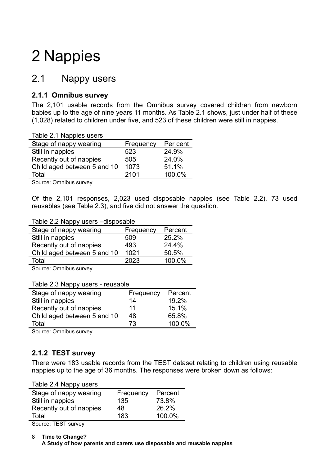# 2 Nappies

## 2.1 Nappy users

## **2.1.1 Omnibus survey**

The 2,101 usable records from the Omnibus survey covered children from newborn babies up to the age of nine years 11 months. As Table 2.1 shows, just under half of these (1,028) related to children under five, and 523 of these children were still in nappies.

| Table 2.1 Nappies users     |           |          |
|-----------------------------|-----------|----------|
| Stage of nappy wearing      | Frequency | Per cent |
| Still in nappies            | 523       | 24.9%    |
| Recently out of nappies     | 505       | 24.0%    |
| Child aged between 5 and 10 | 1073      | 51.1%    |
| Total                       | 2101      | 100.0%   |
| $\sim$ $\sim$ $\sim$ $\sim$ |           |          |

Source: Omnibus survey

Of the 2,101 responses, 2,023 used disposable nappies (see Table 2.2), 73 used reusables (see Table 2.3), and five did not answer the question.

### Table 2.2 Nappy users –disposable

| Stage of nappy wearing      | Frequency | Percent |  |
|-----------------------------|-----------|---------|--|
| Still in nappies            | 509       | 25.2%   |  |
| Recently out of nappies     | 493       | 24.4%   |  |
| Child aged between 5 and 10 | 1021      | 50.5%   |  |
| Total                       | 2023      | 100.0%  |  |
|                             |           |         |  |

Source: Omnibus survey

Table 2.3 Nappy users - reusable

| Stage of nappy wearing      | Frequency | Percent |
|-----------------------------|-----------|---------|
| Still in nappies            | 14        | 19.2%   |
| Recently out of nappies     | 11        | 15.1%   |
| Child aged between 5 and 10 | 48        | 65.8%   |
| Total                       | 73        | 100.0%  |
|                             |           |         |

Source: Omnibus survey

## **2.1.2 TEST survey**

There were 183 usable records from the TEST dataset relating to children using reusable nappies up to the age of 36 months. The responses were broken down as follows:

| Stage of nappy wearing  | Frequency | Percent |
|-------------------------|-----------|---------|
| Still in nappies        | 135       | 73.8%   |
| Recently out of nappies | 48        | 26.2%   |
| Total                   | 183       | 100.0%  |
|                         |           |         |

Source: TEST survey

**Time to Change?** 8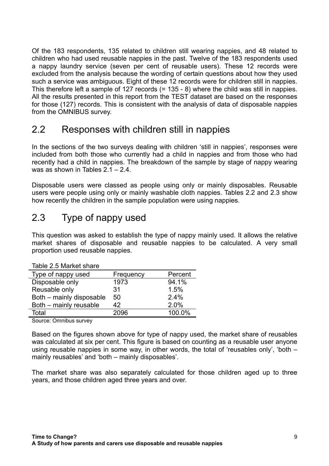Of the 183 respondents, 135 related to children still wearing nappies, and 48 related to children who had used reusable nappies in the past. Twelve of the 183 respondents used a nappy laundry service (seven per cent of reusable users). These 12 records were excluded from the analysis because the wording of certain questions about how they used such a service was ambiguous. Eight of these 12 records were for children still in nappies. This therefore left a sample of 127 records (= 135 - 8) where the child was still in nappies. All the results presented in this report from the TEST dataset are based on the responses for those (127) records. This is consistent with the analysis of data of disposable nappies from the OMNIBUS survey.

# 2.2 Responses with children still in nappies

In the sections of the two surveys dealing with children 'still in nappies', responses were included from both those who currently had a child in nappies and from those who had recently had a child in nappies. The breakdown of the sample by stage of nappy wearing was as shown in Tables 2.1 – 2.4.

Disposable users were classed as people using only or mainly disposables. Reusable users were people using only or mainly washable cloth nappies. Tables 2.2 and 2.3 show how recently the children in the sample population were using nappies.

# 2.3 Type of nappy used

This question was asked to establish the type of nappy mainly used. It allows the relative market shares of disposable and reusable nappies to be calculated. A very small proportion used reusable nappies.

| $100101$ $\equiv$ $1010110110$ |           |         |
|--------------------------------|-----------|---------|
| Type of nappy used             | Frequency | Percent |
| Disposable only                | 1973      | 94.1%   |
| Reusable only                  | 31        | 1.5%    |
| Both - mainly disposable       | 50        | 2.4%    |
| Both - mainly reusable         | 42        | 2.0%    |
| Total                          | 2096      | 100.0%  |

Table 2.5 Market share

Source: Omnibus survey

Based on the figures shown above for type of nappy used, the market share of reusables was calculated at six per cent. This figure is based on counting as a reusable user anyone using reusable nappies in some way, in other words, the total of 'reusables only', 'both – mainly reusables' and 'both – mainly disposables'.

The market share was also separately calculated for those children aged up to three years, and those children aged three years and over.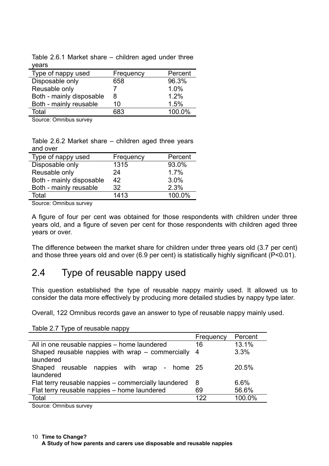| νσαι ο                   |           |         |
|--------------------------|-----------|---------|
| Type of nappy used       | Frequency | Percent |
| Disposable only          | 658       | 96.3%   |
| Reusable only            |           | 1.0%    |
| Both - mainly disposable | 8         | 1.2%    |
| Both - mainly reusable   | 10        | 1.5%    |
| Total                    | 683       | 100.0%  |

Table 2.6.1 Market share – children aged under three years

Source: Omnibus survey

Table 2.6.2 Market share – children aged three years and over

| Type of nappy used       | Frequency | Percent |
|--------------------------|-----------|---------|
| Disposable only          | 1315      | 93.0%   |
| Reusable only            | 24        | 1.7%    |
| Both - mainly disposable | 42        | 3.0%    |
| Both - mainly reusable   | 32        | 2.3%    |
| Total                    | 1413      | 100.0%  |

Source: Omnibus survey

A figure of four per cent was obtained for those respondents with children under three years old, and a figure of seven per cent for those respondents with children aged three years or over.

The difference between the market share for children under three years old (3.7 per cent) and those three years old and over (6.9 per cent) is statistically highly significant (P<0.01).

# 2.4 Type of reusable nappy used

This question established the type of reusable nappy mainly used. It allowed us to consider the data more effectively by producing more detailed studies by nappy type later.

Overall, 122 Omnibus records gave an answer to type of reusable nappy mainly used.

Table 2.7 Type of reusable nappy

| Percent<br>Frequency                          |
|-----------------------------------------------|
| 13.1%<br>16                                   |
| 3.3%                                          |
|                                               |
| 20.5%<br>reusable nappies with wrap - home 25 |
|                                               |
| 6.6%                                          |
| 56.6%<br>69                                   |
| 100.0%<br>122                                 |
|                                               |

Source: Omnibus survey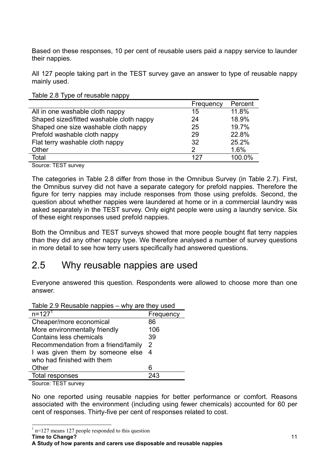Based on these responses, 10 per cent of reusable users paid a nappy service to launder their nappies.

All 127 people taking part in the TEST survey gave an answer to type of reusable nappy mainly used.

|                                          | Frequency     | Percent |
|------------------------------------------|---------------|---------|
| All in one washable cloth nappy          | 15            | 11.8%   |
| Shaped sized/fitted washable cloth nappy | 24            | 18.9%   |
| Shaped one size washable cloth nappy     | 25            | 19.7%   |
| Prefold washable cloth nappy             | 29            | 22.8%   |
| Flat terry washable cloth nappy          | 32            | 25.2%   |
| Other                                    | $\mathcal{P}$ | 1.6%    |
| Total                                    | 127           | 100.0%  |
|                                          |               |         |

Source: TEST survey

The categories in Table 2.8 differ from those in the Omnibus Survey (in Table 2.7). First, the Omnibus survey did not have a separate category for prefold nappies. Therefore the figure for terry nappies may include responses from those using prefolds. Second, the question about whether nappies were laundered at home or in a commercial laundry was asked separately in the TEST survey. Only eight people were using a laundry service. Six of these eight responses used prefold nappies.

Both the Omnibus and TEST surveys showed that more people bought flat terry nappies than they did any other nappy type. We therefore analysed a number of survey questions in more detail to see how terry users specifically had answered questions.

## 2.5 Why reusable nappies are used

Everyone answered this question. Respondents were allowed to choose more than one answer.

| Table 2.9 Reusable nappies – why are they used |           |  |  |  |  |
|------------------------------------------------|-----------|--|--|--|--|
| $n = 127^{1}$                                  | Frequency |  |  |  |  |
| Cheaper/more economical                        | 86        |  |  |  |  |
| More environmentally friendly                  | 106       |  |  |  |  |
| <b>Contains less chemicals</b>                 | 39        |  |  |  |  |
| Recommendation from a friend/family            | 2         |  |  |  |  |
| I was given them by someone else               | -4        |  |  |  |  |
| who had finished with them                     |           |  |  |  |  |
| Other                                          | 6         |  |  |  |  |
| Total responses                                | 243       |  |  |  |  |
| $\bigcap$ TEAT                                 |           |  |  |  |  |

Source: TEST survey

No one reported using reusable nappies for better performance or comfort. Reasons associated with the environment (including using fewer chemicals) accounted for 60 per cent of responses. Thirty-five per cent of responses related to cost.

<sup>1</sup> n=127 means 127 people responded to this question

**Time to Change?**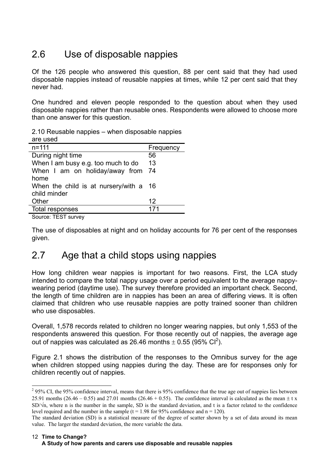# 2.6 Use of disposable nappies

Of the 126 people who answered this question, 88 per cent said that they had used disposable nappies instead of reusable nappies at times, while 12 per cent said that they never had.

One hundred and eleven people responded to the question about when they used disposable nappies rather than reusable ones. Respondents were allowed to choose more than one answer for this question.

| 2.10 Reusable nappies – when disposable nappies |  |
|-------------------------------------------------|--|
| are used                                        |  |

| $n = 111$                              | Frequency |
|----------------------------------------|-----------|
| During night time                      | 56        |
| When I am busy e.g. too much to do     | 13        |
| When I am on holiday/away from 74      |           |
| home                                   |           |
| When the child is at nursery/with a 16 |           |
| child minder                           |           |
| Other                                  | 12        |
| Total responses                        | 171       |

Source: TEST survey

The use of disposables at night and on holiday accounts for 76 per cent of the responses given.

# 2.7 Age that a child stops using nappies

How long children wear nappies is important for two reasons. First, the LCA study intended to compare the total nappy usage over a period equivalent to the average nappywearing period (daytime use). The survey therefore provided an important check. Second, the length of time children are in nappies has been an area of differing views. It is often claimed that children who use reusable nappies are potty trained sooner than children who use disposables.

Overall, 1,578 records related to children no longer wearing nappies, but only 1,553 of the respondents answered this question. For those recently out of nappies, the average age out of nappies was calculated as 26.46 months  $\pm$  0.55 (95% CI<sup>2</sup>).

Figure 2.1 shows the distribution of the responses to the Omnibus survey for the age when children stopped using nappies during the day. These are for responses only for children recently out of nappies.

<sup>&</sup>lt;sup>2</sup> 95% CI, the 95% confidence interval, means that there is 95% confidence that the true age out of nappies lies between 25.91 months (26.46 – 0.55) and 27.01 months (26.46 + 0.55). The confidence interval is calculated as the mean  $\pm$  t x  $SD/\sqrt{n}$ , where n is the number in the sample, SD is the standard deviation, and t is a factor related to the confidence level required and the number in the sample ( $t = 1.98$  for 95% confidence and  $n = 120$ ).

The standard deviation (SD) is a statistical measure of the degree of scatter shown by a set of data around its mean value. The larger the standard deviation, the more variable the data.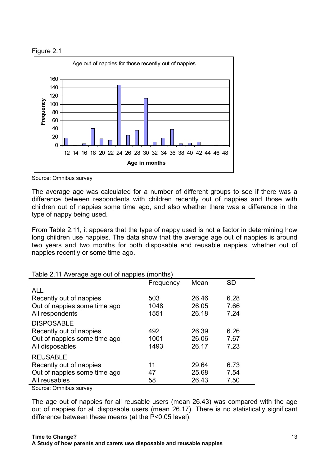



Source: Omnibus survey

The average age was calculated for a number of different groups to see if there was a difference between respondents with children recently out of nappies and those with children out of nappies some time ago, and also whether there was a difference in the type of nappy being used.

From Table 2.11, it appears that the type of nappy used is not a factor in determining how long children use nappies. The data show that the average age out of nappies is around two years and two months for both disposable and reusable nappies, whether out of nappies recently or some time ago.

| Table 2.117 Welage age out of Happies (Highling) |           |       |           |
|--------------------------------------------------|-----------|-------|-----------|
|                                                  | Frequency | Mean  | <b>SD</b> |
| <b>ALL</b>                                       |           |       |           |
| Recently out of nappies                          | 503       | 26.46 | 6.28      |
| Out of nappies some time ago                     | 1048      | 26.05 | 7.66      |
| All respondents                                  | 1551      | 26.18 | 7.24      |
| <b>DISPOSABLE</b>                                |           |       |           |
| Recently out of nappies                          | 492       | 26.39 | 6.26      |
| Out of nappies some time ago                     | 1001      | 26.06 | 7.67      |
| All disposables                                  | 1493      | 26.17 | 7.23      |
| <b>REUSABLE</b>                                  |           |       |           |
| Recently out of nappies                          | 11        | 29.64 | 6.73      |
| Out of nappies some time ago                     | 47        | 25.68 | 7.54      |
| All reusables                                    | 58        | 26.43 | 7.50      |

Table 2.11 Average age out of nappies (months)

Source: Omnibus survey

The age out of nappies for all reusable users (mean 26.43) was compared with the age out of nappies for all disposable users (mean 26.17). There is no statistically significant difference between these means (at the P<0.05 level).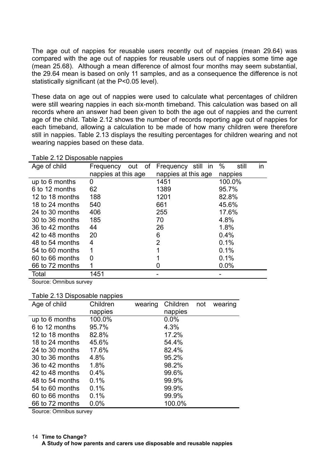The age out of nappies for reusable users recently out of nappies (mean 29.64) was compared with the age out of nappies for reusable users out of nappies some time age (mean 25.68). Although a mean difference of almost four months may seem substantial, the 29.64 mean is based on only 11 samples, and as a consequence the difference is not statistically significant (at the P<0.05 level).

These data on age out of nappies were used to calculate what percentages of children were still wearing nappies in each six-month timeband. This calculation was based on all records where an answer had been given to both the age out of nappies and the current age of the child. Table 2.12 shows the number of records reporting age out of nappies for each timeband, allowing a calculation to be made of how many children were therefore still in nappies. Table 2.13 displays the resulting percentages for children wearing and not wearing nappies based on these data.

| Table 2.12 Disposable nappies |                     |                     |                  |  |  |  |  |
|-------------------------------|---------------------|---------------------|------------------|--|--|--|--|
| Age of child                  | Frequency<br>out of | Frequency still in  | %<br>still<br>in |  |  |  |  |
|                               | nappies at this age | nappies at this age | nappies          |  |  |  |  |
| up to 6 months                | 0                   | 1451                | 100.0%           |  |  |  |  |
| 6 to 12 months                | 62                  | 1389                | 95.7%            |  |  |  |  |
| 12 to 18 months               | 188                 | 1201                | 82.8%            |  |  |  |  |
| 18 to 24 months               | 540                 | 661                 | 45.6%            |  |  |  |  |
| 24 to 30 months               | 406                 | 255                 | 17.6%            |  |  |  |  |
| 30 to 36 months               | 185                 | 70                  | 4.8%             |  |  |  |  |
| 36 to 42 months               | 44                  | 26                  | 1.8%             |  |  |  |  |
| 42 to 48 months               | 20                  | 6                   | 0.4%             |  |  |  |  |
| 48 to 54 months               | 4                   | $\overline{2}$      | 0.1%             |  |  |  |  |
| 54 to 60 months               | 1                   | 1                   | 0.1%             |  |  |  |  |
| 60 to 66 months               | 0                   |                     | 0.1%             |  |  |  |  |
| 66 to 72 months               |                     | Ü                   | 0.0%             |  |  |  |  |
| Total                         | 1451                |                     |                  |  |  |  |  |

Source: Omnibus survey

| Table 2.13 Disposable nappies |  |
|-------------------------------|--|
|                               |  |

| Age of child    | Children | wearing | Children | not | wearing |
|-----------------|----------|---------|----------|-----|---------|
|                 | nappies  |         | nappies  |     |         |
| up to 6 months  | 100.0%   |         | $0.0\%$  |     |         |
| 6 to 12 months  | 95.7%    |         | 4.3%     |     |         |
| 12 to 18 months | 82.8%    |         | 17.2%    |     |         |
| 18 to 24 months | 45.6%    |         | 54.4%    |     |         |
| 24 to 30 months | 17.6%    |         | 82.4%    |     |         |
| 30 to 36 months | 4.8%     |         | 95.2%    |     |         |
| 36 to 42 months | 1.8%     |         | 98.2%    |     |         |
| 42 to 48 months | 0.4%     |         | 99.6%    |     |         |
| 48 to 54 months | 0.1%     |         | 99.9%    |     |         |
| 54 to 60 months | 0.1%     |         | 99.9%    |     |         |
| 60 to 66 months | 0.1%     |         | 99.9%    |     |         |
| 66 to 72 months | 0.0%     |         | 100.0%   |     |         |

Source: Omnibus survey

**Time to Change?** 14 **A Study of how parents and carers use disposable and reusable nappies**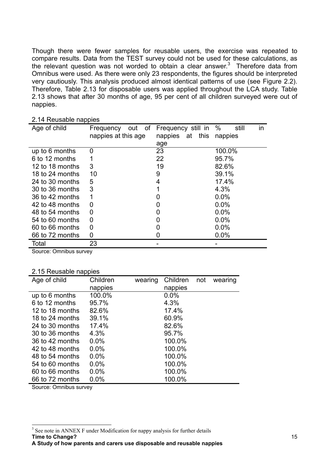Though there were fewer samples for reusable users, the exercise was repeated to compare results. Data from the TEST survey could not be used for these calculations, as the relevant question was not worded to obtain a clear answer. $3$  Therefore data from Omnibus were used. As there were only 23 respondents, the figures should be interpreted very cautiously. This analysis produced almost identical patterns of use (see Figure 2.2). Therefore, Table 2.13 for disposable users was applied throughout the LCA study. Table 2.13 shows that after 30 months of age, 95 per cent of all children surveyed were out of nappies.

| Age of child    | out of<br>Frequency<br>nappies at this age | Frequency still in<br>nappies at this<br>age | $\%$<br>still<br>in<br>nappies |
|-----------------|--------------------------------------------|----------------------------------------------|--------------------------------|
| up to 6 months  | 0                                          | 23                                           | 100.0%                         |
| 6 to 12 months  |                                            | 22                                           | 95.7%                          |
| 12 to 18 months | 3                                          | 19                                           | 82.6%                          |
| 18 to 24 months | 10                                         | 9                                            | 39.1%                          |
| 24 to 30 months | 5                                          | 4                                            | 17.4%                          |
| 30 to 36 months | 3                                          |                                              | 4.3%                           |
| 36 to 42 months |                                            |                                              | $0.0\%$                        |
| 42 to 48 months | 0                                          | 0                                            | $0.0\%$                        |
| 48 to 54 months | 0                                          |                                              | $0.0\%$                        |
| 54 to 60 months | 0                                          |                                              | 0.0%                           |
| 60 to 66 months | 0                                          |                                              | 0.0%                           |
| 66 to 72 months | 0                                          |                                              | 0.0%                           |
| Total           | 23                                         |                                              |                                |

### 2.14 Reusable nappies

Source: Omnibus survey

### 2.15 Reusable nappies

| Age of child    | Children | wearing | Children | not | wearing |
|-----------------|----------|---------|----------|-----|---------|
|                 | nappies  |         | nappies  |     |         |
| up to 6 months  | 100.0%   |         | $0.0\%$  |     |         |
| 6 to 12 months  | 95.7%    |         | 4.3%     |     |         |
| 12 to 18 months | 82.6%    |         | 17.4%    |     |         |
| 18 to 24 months | 39.1%    |         | 60.9%    |     |         |
| 24 to 30 months | 17.4%    |         | 82.6%    |     |         |
| 30 to 36 months | 4.3%     |         | 95.7%    |     |         |
| 36 to 42 months | $0.0\%$  |         | 100.0%   |     |         |
| 42 to 48 months | $0.0\%$  |         | 100.0%   |     |         |
| 48 to 54 months | $0.0\%$  |         | 100.0%   |     |         |
| 54 to 60 months | $0.0\%$  |         | 100.0%   |     |         |
| 60 to 66 months | 0.0%     |         | 100.0%   |     |         |
| 66 to 72 months | 0.0%     |         | 100.0%   |     |         |

Source: Omnibus survey

**Time to Change?** <sup>3</sup> See note in ANNEX F under Modification for nappy analysis for further details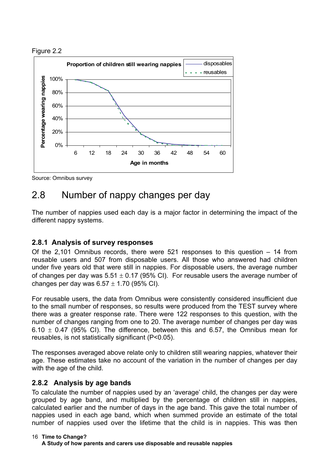



Source: Omnibus survey

# 2.8 Number of nappy changes per day

The number of nappies used each day is a major factor in determining the impact of the different nappy systems.

## **2.8.1 Analysis of survey responses**

Of the 2,101 Omnibus records, there were 521 responses to this question – 14 from reusable users and 507 from disposable users. All those who answered had children under five years old that were still in nappies. For disposable users, the average number of changes per day was  $5.51 \pm 0.17$  (95% CI). For reusable users the average number of changes per day was  $6.57 \pm 1.70$  (95% CI).

For reusable users, the data from Omnibus were consistently considered insufficient due to the small number of responses, so results were produced from the TEST survey where there was a greater response rate. There were 122 responses to this question, with the number of changes ranging from one to 20. The average number of changes per day was 6.10  $\pm$  0.47 (95% CI). The difference, between this and 6.57, the Omnibus mean for reusables, is not statistically significant (P<0.05).

The responses averaged above relate only to children still wearing nappies, whatever their age. These estimates take no account of the variation in the number of changes per day with the age of the child.

## **2.8.2 Analysis by age bands**

To calculate the number of nappies used by an 'average' child, the changes per day were grouped by age band, and multiplied by the percentage of children still in nappies, calculated earlier and the number of days in the age band. This gave the total number of nappies used in each age band, which when summed provide an estimate of the total number of nappies used over the lifetime that the child is in nappies. This was then

### **Time to Change?** 16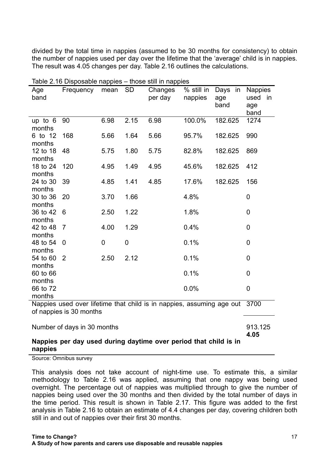divided by the total time in nappies (assumed to be 30 months for consistency) to obtain the number of nappies used per day over the lifetime that the 'average' child is in nappies. The result was 4.05 changes per day. Table 2.16 outlines the calculations.

| Age<br>band                                                                                                | rabic 2.10 Disposable Happies<br>Frequency | mean | <b>SD</b>      | <b>UIDOG OUIL III HAPPICO</b><br>Changes<br>per day | % still in<br>nappies | Days in<br>age<br>band | <b>Nappies</b><br>used<br>in<br>age<br>band |
|------------------------------------------------------------------------------------------------------------|--------------------------------------------|------|----------------|-----------------------------------------------------|-----------------------|------------------------|---------------------------------------------|
| up to $6$<br>months                                                                                        | 90                                         | 6.98 | 2.15           | 6.98                                                | 100.0%                | 182.625                | 1274                                        |
| 6 to 12<br>months                                                                                          | 168                                        | 5.66 | 1.64           | 5.66                                                | 95.7%                 | 182.625                | 990                                         |
| 12 to 18<br>months                                                                                         | 48                                         | 5.75 | 1.80           | 5.75                                                | 82.8%                 | 182.625                | 869                                         |
| 18 to 24<br>months                                                                                         | 120                                        | 4.95 | 1.49           | 4.95                                                | 45.6%                 | 182.625                | 412                                         |
| 24 to 30<br>months                                                                                         | 39                                         | 4.85 | 1.41           | 4.85                                                | 17.6%                 | 182.625                | 156                                         |
| 30 to 36<br>months                                                                                         | 20                                         | 3.70 | 1.66           |                                                     | 4.8%                  |                        | 0                                           |
| 36 to 42<br>months                                                                                         | 6                                          | 2.50 | 1.22           |                                                     | 1.8%                  |                        | $\mathbf 0$                                 |
| 42 to 48<br>months                                                                                         | $\overline{7}$                             | 4.00 | 1.29           |                                                     | 0.4%                  |                        | 0                                           |
| 48 to 54<br>months                                                                                         | $\mathbf 0$                                | 0    | $\overline{0}$ |                                                     | 0.1%                  |                        | 0                                           |
| 54 to 60                                                                                                   | $\overline{2}$                             | 2.50 | 2.12           |                                                     | 0.1%                  |                        | 0                                           |
| months<br>60 to 66<br>months                                                                               |                                            |      |                |                                                     | 0.1%                  |                        | 0                                           |
| 66 to 72                                                                                                   |                                            |      |                |                                                     | 0.0%                  |                        | 0                                           |
| months<br>Nappies used over lifetime that child is in nappies, assuming age out<br>of nappies is 30 months |                                            |      |                |                                                     |                       | 3700                   |                                             |
|                                                                                                            |                                            |      |                |                                                     |                       |                        |                                             |
| Number of days in 30 months                                                                                |                                            |      |                |                                                     |                       | 913.125<br>4.05        |                                             |
| Nappies per day used during daytime over period that child is in<br>nappies                                |                                            |      |                |                                                     |                       |                        |                                             |

Table 2.16 Disposable nappies – those still in nappies

Source: Omnibus survey

This analysis does not take account of night-time use. To estimate this, a similar methodology to Table 2.16 was applied, assuming that one nappy was being used overnight. The percentage out of nappies was multiplied through to give the number of nappies being used over the 30 months and then divided by the total number of days in the time period. This result is shown in Table 2.17. This figure was added to the first analysis in Table 2.16 to obtain an estimate of 4.4 changes per day, covering children both still in and out of nappies over their first 30 months.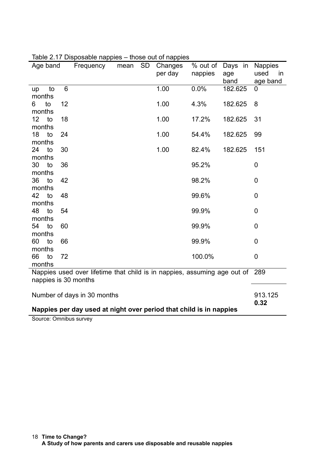| Age band                                                           | Frequency                                                                    | mean | <b>SD</b> | Changes<br>per day | % out of<br>nappies | Days in<br>age | <b>Nappies</b><br>used<br>in |
|--------------------------------------------------------------------|------------------------------------------------------------------------------|------|-----------|--------------------|---------------------|----------------|------------------------------|
|                                                                    |                                                                              |      |           |                    |                     | band           | age band                     |
| to<br>up                                                           | 6                                                                            |      |           | 1.00               | 0.0%                | 182.625        | $\mathbf 0$                  |
| months                                                             |                                                                              |      |           |                    |                     |                |                              |
| to<br>12<br>6<br>months                                            |                                                                              |      |           | 1.00               | 4.3%                | 182.625        | 8                            |
| 12<br>18<br>to                                                     |                                                                              |      |           | 1.00               | 17.2%               | 182.625        | 31                           |
| months                                                             |                                                                              |      |           |                    |                     |                |                              |
| 18<br>24<br>to                                                     |                                                                              |      |           | 1.00               | 54.4%               | 182.625        | 99                           |
| months                                                             |                                                                              |      |           |                    |                     |                |                              |
| 30<br>24<br>to                                                     |                                                                              |      |           | 1.00               | 82.4%               | 182.625        | 151                          |
| months                                                             |                                                                              |      |           |                    |                     |                |                              |
| 30<br>36<br>to                                                     |                                                                              |      |           |                    | 95.2%               |                | 0                            |
| months<br>42<br>36<br>to                                           |                                                                              |      |           |                    | 98.2%               |                | $\mathbf 0$                  |
| months                                                             |                                                                              |      |           |                    |                     |                |                              |
| 42<br>48<br>to                                                     |                                                                              |      |           |                    | 99.6%               |                | $\mathbf 0$                  |
| months                                                             |                                                                              |      |           |                    |                     |                |                              |
| 48<br>54<br>to                                                     |                                                                              |      |           |                    | 99.9%               |                | 0                            |
| months                                                             |                                                                              |      |           |                    |                     |                |                              |
| 54<br>to<br>60                                                     |                                                                              |      |           |                    | 99.9%               |                | 0                            |
| months                                                             |                                                                              |      |           |                    |                     |                |                              |
| 60<br>66<br>to                                                     |                                                                              |      |           |                    | 99.9%               |                | $\mathbf 0$                  |
| months<br>66<br>to<br>72                                           |                                                                              |      |           |                    | 100.0%              |                | $\mathbf 0$                  |
| months                                                             |                                                                              |      |           |                    |                     |                |                              |
|                                                                    | Nappies used over lifetime that child is in nappies, assuming age out of 289 |      |           |                    |                     |                |                              |
| nappies is 30 months                                               |                                                                              |      |           |                    |                     |                |                              |
|                                                                    |                                                                              |      |           |                    |                     |                |                              |
|                                                                    | Number of days in 30 months                                                  |      |           |                    |                     |                | 913.125<br>0.32              |
| Nappies per day used at night over period that child is in nappies |                                                                              |      |           |                    |                     |                |                              |

| Table 2.17 Disposable nappies - those out of nappies |  |  |
|------------------------------------------------------|--|--|
|                                                      |  |  |

Source: Omnibus survey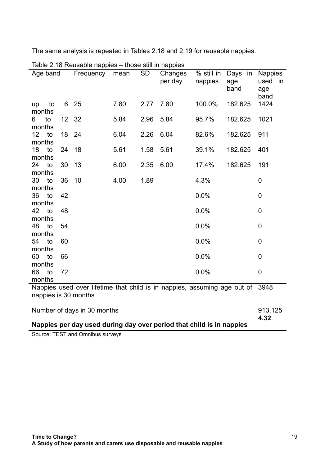The same analysis is repeated in Tables 2.18 and 2.19 for reusable nappies.

| Age band                                                             |    |                 | Frequency                                                                | mean | <b>SD</b>       | anooo oan in nappioo<br>Changes<br>per day | % still in<br>nappies | Days in<br>age<br>band | <b>Nappies</b><br>used<br>age<br>band | in |
|----------------------------------------------------------------------|----|-----------------|--------------------------------------------------------------------------|------|-----------------|--------------------------------------------|-----------------------|------------------------|---------------------------------------|----|
| up<br>months                                                         | to | 6               | 25                                                                       | 7.80 | 2.77            | 7.80                                       | 100.0%                | 182.625                | 1424                                  |    |
| 6                                                                    | to | 12 <sup>2</sup> | - 32                                                                     | 5.84 | 2.96            | 5.84                                       | 95.7%                 | 182.625                | 1021                                  |    |
| months<br>12                                                         | to | 18              | 24                                                                       | 6.04 | 2.26            | 6.04                                       | 82.6%                 | 182.625                | 911                                   |    |
| months<br>18                                                         | to | 24              | 18                                                                       | 5.61 | 1.58            | 5.61                                       | 39.1%                 | 182.625                | 401                                   |    |
| months                                                               |    |                 |                                                                          |      |                 |                                            |                       |                        |                                       |    |
| 24<br>months                                                         | to | 30              | 13                                                                       | 6.00 | 2.35            | 6.00                                       | 17.4%                 | 182.625                | 191                                   |    |
| 30                                                                   | to | 36              | 10                                                                       | 4.00 | 1.89            |                                            | 4.3%                  |                        | 0                                     |    |
| months<br>36                                                         | to | 42              |                                                                          |      |                 |                                            | 0.0%                  |                        | 0                                     |    |
| months<br>42                                                         | to | 48              |                                                                          |      |                 |                                            | 0.0%                  |                        | 0                                     |    |
| months                                                               |    |                 |                                                                          |      |                 |                                            |                       |                        |                                       |    |
| 48<br>months                                                         | to | 54              |                                                                          |      |                 |                                            | 0.0%                  |                        | $\mathbf 0$                           |    |
| 54<br>months                                                         | to | 60              |                                                                          |      |                 |                                            | 0.0%                  |                        | 0                                     |    |
| 60                                                                   | to | 66              |                                                                          |      |                 |                                            | 0.0%                  |                        | $\overline{0}$                        |    |
| months<br>66                                                         | to | 72              |                                                                          |      |                 |                                            | 0.0%                  |                        | $\mathbf 0$                           |    |
| months                                                               |    |                 | Nappies used over lifetime that child is in nappies, assuming age out of |      |                 |                                            |                       |                        | 3948                                  |    |
| nappies is 30 months                                                 |    |                 |                                                                          |      |                 |                                            |                       |                        |                                       |    |
| Number of days in 30 months                                          |    |                 |                                                                          |      | 913.125<br>4.32 |                                            |                       |                        |                                       |    |
| Nappies per day used during day over period that child is in nappies |    |                 |                                                                          |      |                 |                                            |                       |                        |                                       |    |

Table 2.18 Reusable nappies – those still in nappies

Source: TEST and Omnibus surveys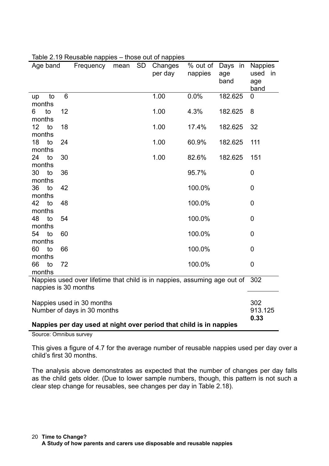| Age band             |    | Frequency                                                                | mean | <b>SD</b> | Changes<br>per day | % out of<br>nappies | Days in<br>age<br>band | <b>Nappies</b><br>used<br>age<br>band | -in |
|----------------------|----|--------------------------------------------------------------------------|------|-----------|--------------------|---------------------|------------------------|---------------------------------------|-----|
| to<br>up             | 6  |                                                                          |      |           | 1.00               | 0.0%                | 182.625                | 0                                     |     |
| months<br>to<br>6    | 12 |                                                                          |      |           | 1.00               | 4.3%                | 182.625                | 8                                     |     |
| months               |    |                                                                          |      |           |                    |                     |                        |                                       |     |
| 12<br>to             | 18 |                                                                          |      |           | 1.00               | 17.4%               | 182.625                | 32                                    |     |
| months               |    |                                                                          |      |           |                    |                     |                        |                                       |     |
| 18<br>to<br>months   | 24 |                                                                          |      |           | 1.00               | 60.9%               | 182.625                | 111                                   |     |
| 24<br>to             | 30 |                                                                          |      |           | 1.00               | 82.6%               | 182.625                | 151                                   |     |
| months               |    |                                                                          |      |           |                    |                     |                        |                                       |     |
| 30<br>to             | 36 |                                                                          |      |           |                    | 95.7%               |                        | 0                                     |     |
| months<br>36<br>to   | 42 |                                                                          |      |           |                    | 100.0%              |                        | $\mathbf 0$                           |     |
| months               |    |                                                                          |      |           |                    |                     |                        |                                       |     |
| 42<br>to             | 48 |                                                                          |      |           |                    | 100.0%              |                        | $\mathbf 0$                           |     |
| months               |    |                                                                          |      |           |                    |                     |                        |                                       |     |
| 48<br>to             | 54 |                                                                          |      |           |                    | 100.0%              |                        | 0                                     |     |
| months<br>54<br>to   | 60 |                                                                          |      |           |                    | 100.0%              |                        | $\mathbf 0$                           |     |
| months               |    |                                                                          |      |           |                    |                     |                        |                                       |     |
| 60<br>to             | 66 |                                                                          |      |           |                    | 100.0%              |                        | $\mathbf 0$                           |     |
| months               |    |                                                                          |      |           |                    |                     |                        |                                       |     |
| 66<br>to<br>months   | 72 |                                                                          |      |           |                    | 100.0%              |                        | 0                                     |     |
|                      |    | Nappies used over lifetime that child is in nappies, assuming age out of |      |           |                    |                     |                        | 302                                   |     |
| nappies is 30 months |    |                                                                          |      |           |                    |                     |                        |                                       |     |
|                      |    | Nappies used in 30 months                                                |      |           |                    |                     |                        | 302                                   |     |
|                      |    | Number of days in 30 months                                              |      |           |                    |                     |                        | 913.125                               |     |

Table 2.19 Reusable nappies – those out of nappies

**Nappies per day used at night over period that child is in nappies**

Source: Omnibus survey

This gives a figure of 4.7 for the average number of reusable nappies used per day over a child's first 30 months.

**0.33**

The analysis above demonstrates as expected that the number of changes per day falls as the child gets older. (Due to lower sample numbers, though, this pattern is not such a clear step change for reusables, see changes per day in Table 2.18).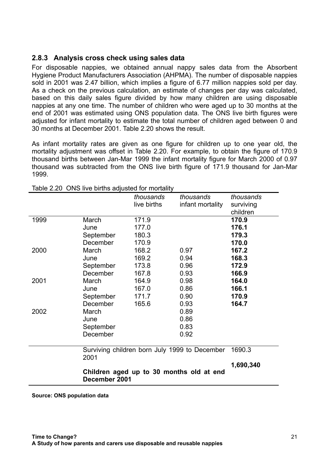## **2.8.3 Analysis cross check using sales data**

For disposable nappies, we obtained annual nappy sales data from the Absorbent Hygiene Product Manufacturers Association (AHPMA). The number of disposable nappies sold in 2001 was 2.47 billion, which implies a figure of 6.77 million nappies sold per day. As a check on the previous calculation, an estimate of changes per day was calculated, based on this daily sales figure divided by how many children are using disposable nappies at any one time. The number of children who were aged up to 30 months at the end of 2001 was estimated using ONS population data. The ONS live birth figures were adjusted for infant mortality to estimate the total number of children aged between 0 and 30 months at December 2001. Table 2.20 shows the result.

As infant mortality rates are given as one figure for children up to one year old, the mortality adjustment was offset in Table 2.20. For example, to obtain the figure of 170.9 thousand births between Jan-Mar 1999 the infant mortality figure for March 2000 of 0.97 thousand was subtracted from the ONS live birth figure of 171.9 thousand for Jan-Mar 1999.

|      |                                                           | thousands<br>live births | thousands<br>infant mortality                 | thousands<br>surviving<br>children |
|------|-----------------------------------------------------------|--------------------------|-----------------------------------------------|------------------------------------|
| 1999 | March                                                     | 171.9                    |                                               | 170.9                              |
|      | June                                                      | 177.0                    |                                               | 176.1                              |
|      | September                                                 | 180.3                    |                                               | 179.3                              |
|      | December                                                  | 170.9                    |                                               | 170.0                              |
| 2000 | March                                                     | 168.2                    | 0.97                                          | 167.2                              |
|      | June                                                      | 169.2                    | 0.94                                          | 168.3                              |
|      | September                                                 | 173.8                    | 0.96                                          | 172.9                              |
|      | December                                                  | 167.8                    | 0.93                                          | 166.9                              |
| 2001 | March                                                     | 164.9                    | 0.98                                          | 164.0                              |
|      | June                                                      | 167.0                    | 0.86                                          | 166.1                              |
|      | September                                                 | 171.7                    | 0.90                                          | 170.9                              |
|      | December                                                  | 165.6                    | 0.93                                          | 164.7                              |
| 2002 | March                                                     |                          | 0.89                                          |                                    |
|      | June                                                      |                          | 0.86                                          |                                    |
|      | September                                                 |                          | 0.83                                          |                                    |
|      | December                                                  |                          | 0.92                                          |                                    |
|      | 2001                                                      |                          | Surviving children born July 1999 to December | 1690.3                             |
|      |                                                           |                          |                                               | 1,690,340                          |
|      | Children aged up to 30 months old at end<br>December 2001 |                          |                                               |                                    |

Table 2.20 ONS live births adjusted for mortality

**Source: ONS population data**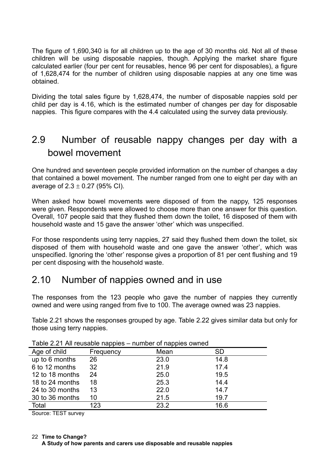The figure of 1,690,340 is for all children up to the age of 30 months old. Not all of these children will be using disposable nappies, though. Applying the market share figure calculated earlier (four per cent for reusables, hence 96 per cent for disposables), a figure of 1,628,474 for the number of children using disposable nappies at any one time was obtained.

Dividing the total sales figure by 1,628,474, the number of disposable nappies sold per child per day is 4.16, which is the estimated number of changes per day for disposable nappies. This figure compares with the 4.4 calculated using the survey data previously.

# 2.9 Number of reusable nappy changes per day with a bowel movement

One hundred and seventeen people provided information on the number of changes a day that contained a bowel movement. The number ranged from one to eight per day with an average of  $2.3 \pm 0.27$  (95% CI).

When asked how bowel movements were disposed of from the nappy, 125 responses were given. Respondents were allowed to choose more than one answer for this question. Overall, 107 people said that they flushed them down the toilet, 16 disposed of them with household waste and 15 gave the answer 'other' which was unspecified.

For those respondents using terry nappies, 27 said they flushed them down the toilet, six disposed of them with household waste and one gave the answer 'other', which was unspecified. Ignoring the 'other' response gives a proportion of 81 per cent flushing and 19 per cent disposing with the household waste.

# 2.10 Number of nappies owned and in use

The responses from the 123 people who gave the number of nappies they currently owned and were using ranged from five to 100. The average owned was 23 nappies.

Table 2.21 shows the responses grouped by age. Table 2.22 gives similar data but only for those using terry nappies.

| <b>Table 2.2 L AND TOGGAME Happies</b> |           | <b>HUITING OF HUPPICS OWNED</b> |      |
|----------------------------------------|-----------|---------------------------------|------|
| Age of child                           | Frequency | Mean                            | SD   |
| up to 6 months                         | 26        | 23.0                            | 14.8 |
| 6 to 12 months                         | 32        | 21.9                            | 17.4 |
| 12 to 18 months                        | 24        | 25.0                            | 19.5 |
| 18 to 24 months                        | 18        | 25.3                            | 14.4 |
| 24 to 30 months                        | 13        | 22.0                            | 14.7 |
| 30 to 36 months                        | 10        | 21.5                            | 19.7 |
| Total                                  | 123       | 23.2                            | 16.6 |

Table 2.21 All reusable nappies – number of nappies owned

Source: TEST survey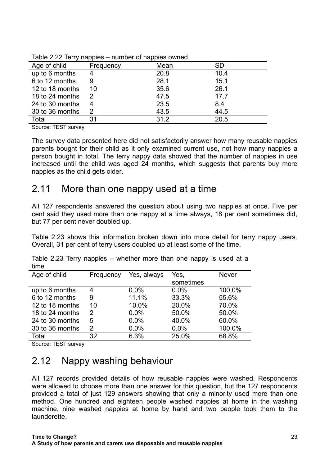| Age of child    | Frequency | Mean | <b>SD</b> |
|-----------------|-----------|------|-----------|
| up to 6 months  | 4         | 20.8 | 10.4      |
| 6 to 12 months  | 9         | 28.1 | 15.1      |
| 12 to 18 months | 10        | 35.6 | 26.1      |
| 18 to 24 months | 2         | 47.5 | 17.7      |
| 24 to 30 months | 4         | 23.5 | 8.4       |
| 30 to 36 months | 2         | 43.5 | 44.5      |
| Total           | 31        | 31.2 | 20.5      |

Table 2.22 Terry nappies – number of nappies owned

Source: TEST survey

The survey data presented here did not satisfactorily answer how many reusable nappies parents bought for their child as it only examined current use, not how many nappies a person bought in total. The terry nappy data showed that the number of nappies in use increased until the child was aged 24 months, which suggests that parents buy more nappies as the child gets older.

## 2.11 More than one nappy used at a time

All 127 respondents answered the question about using two nappies at once. Five per cent said they used more than one nappy at a time always, 18 per cent sometimes did, but 77 per cent never doubled up.

Table 2.23 shows this information broken down into more detail for terry nappy users. Overall, 31 per cent of terry users doubled up at least some of the time.

| une             |           |             |           |              |
|-----------------|-----------|-------------|-----------|--------------|
| Age of child    | Frequency | Yes, always | Yes,      | <b>Never</b> |
|                 |           |             | sometimes |              |
| up to 6 months  | 4         | 0.0%        | 0.0%      | 100.0%       |
| 6 to 12 months  | 9         | 11.1%       | 33.3%     | 55.6%        |
| 12 to 18 months | 10        | 10.0%       | 20.0%     | 70.0%        |
| 18 to 24 months | 2         | 0.0%        | 50.0%     | 50.0%        |
| 24 to 30 months | 5         | 0.0%        | 40.0%     | 60.0%        |
| 30 to 36 months | 2         | 0.0%        | 0.0%      | 100.0%       |
| Total           | 32        | 6.3%        | 25.0%     | 68.8%        |

Table 2.23 Terry nappies – whether more than one nappy is used at a time

Source: TEST survey

# 2.12 Nappy washing behaviour

All 127 records provided details of how reusable nappies were washed. Respondents were allowed to choose more than one answer for this question, but the 127 respondents provided a total of just 129 answers showing that only a minority used more than one method. One hundred and eighteen people washed nappies at home in the washing machine, nine washed nappies at home by hand and two people took them to the launderette.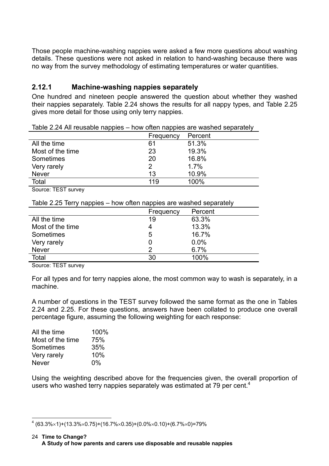Those people machine-washing nappies were asked a few more questions about washing details. These questions were not asked in relation to hand-washing because there was no way from the survey methodology of estimating temperatures or water quantities.

## **2.12.1 Machine-washing nappies separately**

One hundred and nineteen people answered the question about whether they washed their nappies separately. Table 2.24 shows the results for all nappy types, and Table 2.25 gives more detail for those using only terry nappies.

|                   | Frequency | Percent |
|-------------------|-----------|---------|
| All the time      | 61        | 51.3%   |
| Most of the time. | 23        | 19.3%   |
| <b>Sometimes</b>  | 20        | 16.8%   |
| Very rarely       | 2         | 1.7%    |
| <b>Never</b>      | 13        | 10.9%   |
| Total             | 119       | 100%    |

Table 2.24 All reusable nappies – how often nappies are washed separately

Source: TEST survey

Table 2.25 Terry nappies – how often nappies are washed separately

|                  | Frequency | Percent |
|------------------|-----------|---------|
| All the time     | 19        | 63.3%   |
| Most of the time |           | 13.3%   |
| Sometimes        | 5         | 16.7%   |
| Very rarely      |           | 0.0%    |
| <b>Never</b>     | 2         | 6.7%    |
| Total            | 30        | 100%    |

Source: TEST survey

For all types and for terry nappies alone, the most common way to wash is separately, in a machine.

A number of questions in the TEST survey followed the same format as the one in Tables 2.24 and 2.25. For these questions, answers have been collated to produce one overall percentage figure, assuming the following weighting for each response:

| All the time     | 100% |
|------------------|------|
| Most of the time | 75%  |
| Sometimes        | 35%  |
| Very rarely      | 10%  |
| <b>Never</b>     | 0%   |
|                  |      |

l

Using the weighting described above for the frequencies given, the overall proportion of users who washed terry nappies separately was estimated at 79 per cent. $4$ 

 $^4$  (63.3% $\times$ 1)+(13.3% $\times$ 0.75)+(16.7% $\times$ 0.35)+(0.0% $\times$ 0.10)+(6.7% $\times$ 0)=79%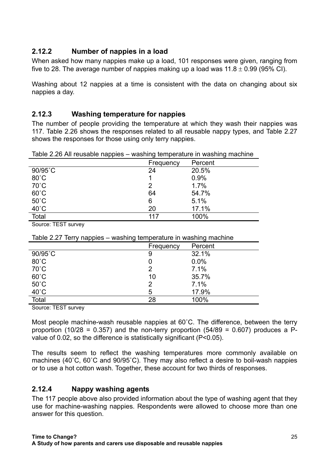## **2.12.2 Number of nappies in a load**

When asked how many nappies make up a load, 101 responses were given, ranging from five to 28. The average number of nappies making up a load was  $11.8 \pm 0.99$  (95% CI).

Washing about 12 nappies at a time is consistent with the data on changing about six nappies a day.

## **2.12.3 Washing temperature for nappies**

The number of people providing the temperature at which they wash their nappies was 117. Table 2.26 shows the responses related to all reusable nappy types, and Table 2.27 shows the responses for those using only terry nappies.

Table 2.26 All reusable nappies – washing temperature in washing machine

|                | Frequency | Percent |
|----------------|-----------|---------|
| 90/95°C        | 24        | 20.5%   |
| $80^{\circ}$ C |           | 0.9%    |
| $70^{\circ}$ C | 2         | 1.7%    |
| $60^{\circ}$ C | 64        | 54.7%   |
| $50^{\circ}$ C | 6         | 5.1%    |
| $40^{\circ}$ C | 20        | 17.1%   |
| Total          | 117       | 100%    |

Source: TEST survey

Table 2.27 Terry nappies – washing temperature in washing machine

|                | Frequency | Percent |
|----------------|-----------|---------|
| 90/95°C        | 9         | 32.1%   |
| $80^{\circ}$ C |           | 0.0%    |
| $70^{\circ}$ C | 2         | 7.1%    |
| $60^{\circ}$ C | 10        | 35.7%   |
| $50^{\circ}$ C | 2         | 7.1%    |
| $40^{\circ}$ C | 5         | 17.9%   |
| <b>Total</b>   | 28        | 100%    |

Source: TEST survey

Most people machine-wash reusable nappies at 60˚C. The difference, between the terry proportion (10/28 = 0.357) and the non-terry proportion (54/89 = 0.607) produces a Pvalue of 0.02, so the difference is statistically significant (P<0.05).

The results seem to reflect the washing temperatures more commonly available on machines (40˚C, 60˚C and 90/95˚C). They may also reflect a desire to boil-wash nappies or to use a hot cotton wash. Together, these account for two thirds of responses.

## **2.12.4 Nappy washing agents**

The 117 people above also provided information about the type of washing agent that they use for machine-washing nappies. Respondents were allowed to choose more than one answer for this question.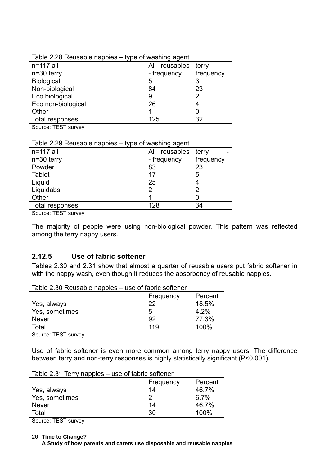| Table 2.20 Neusable Happies $-$ type of washing agent |                  |           |
|-------------------------------------------------------|------------------|-----------|
| $n=117$ all                                           | reusables<br>All | terry     |
| $n=30$ terry                                          | - frequency      | frequency |
| <b>Biological</b>                                     | 5                |           |
| Non-biological                                        | 84               | 23        |
| Eco biological                                        | 9                | 2         |
| Eco non-biological                                    | 26               |           |
| Other                                                 |                  |           |
| Total responses                                       | 125              | 32        |
|                                                       |                  |           |

### Table 2.28 Reusable nappies – type of washing agent

Source: TEST survey

### Table 2.29 Reusable nappies – type of washing agent

| $n=117$ all     | All reusables | terry     |
|-----------------|---------------|-----------|
| $n=30$ terry    | - frequency   | frequency |
| Powder          | 83            | 23        |
| <b>Tablet</b>   | 17            | 5         |
| Liquid          | 25            | 4         |
| Liquidabs       | 2             | 2         |
| Other           |               |           |
| Total responses | 128           | 34        |
|                 |               |           |

Source: TEST survey

The majority of people were using non-biological powder. This pattern was reflected among the terry nappy users.

## **2.12.5 Use of fabric softener**

Tables 2.30 and 2.31 show that almost a quarter of reusable users put fabric softener in with the nappy wash, even though it reduces the absorbency of reusable nappies.

| Table 2.30 Reusable nappies – use of fabric softener |         |
|------------------------------------------------------|---------|
| Frequency                                            | Percent |

|                | <b>Frequency</b> | Percent |
|----------------|------------------|---------|
| Yes, always    | 22               | 18.5%   |
| Yes, sometimes | 5                | 4.2%    |
| <b>Never</b>   | 92               | 77.3%   |
| Total          | 119              | 100%    |

Source: TEST survey

Use of fabric softener is even more common among terry nappy users. The difference between terry and non-terry responses is highly statistically significant (P<0.001).

| Table 2.3 F Terry Happles – use or labilic soliener |           |         |
|-----------------------------------------------------|-----------|---------|
|                                                     | Frequency | Percent |
| Yes, always                                         | 14        | 46.7%   |
| Yes, sometimes                                      | 2         | 6.7%    |
| <b>Never</b>                                        | 14        | 46.7%   |
| Total                                               | 30        | 100%    |
|                                                     |           |         |

Table 2.31 Terry nappies – use of fabric softener

Source: TEST survey

**Time to Change?** 26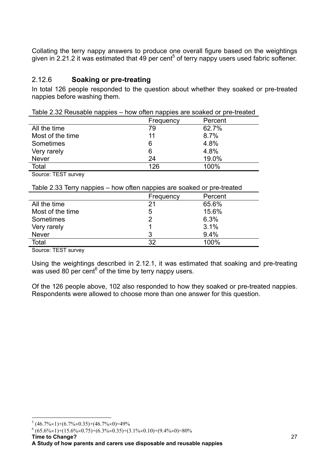Collating the terry nappy answers to produce one overall figure based on the weightings given in 2.21.2 it was estimated that 49 per cent<sup>5</sup> of terry nappy users used fabric softener.

## 2.12.6 **Soaking or pre-treating**

In total 126 people responded to the question about whether they soaked or pre-treated nappies before washing them.

|                  | Frequency | Percent |
|------------------|-----------|---------|
| All the time     | 79        | 62.7%   |
| Most of the time | 11        | 8.7%    |
| Sometimes        | 6         | 4.8%    |
| Very rarely      | 6         | 4.8%    |
| <b>Never</b>     | 24        | 19.0%   |
| Total            | 126       | 100%    |
|                  |           |         |

Table 2.32 Reusable nappies – how often nappies are soaked or pre-treated

Source: TEST survey

| Table 2.33 Terry nappies – how often nappies are soaked or pre-treated |  |
|------------------------------------------------------------------------|--|
|------------------------------------------------------------------------|--|

| <b>CONG 2.00 TOTTY HOPPICS</b> | <b>TION ORDER HAPPICS ATC SOURCH OF PIC RICHICA</b> |         |
|--------------------------------|-----------------------------------------------------|---------|
|                                | Frequency                                           | Percent |
| All the time                   | 21                                                  | 65.6%   |
| Most of the time.              | 5                                                   | 15.6%   |
| Sometimes                      |                                                     | 6.3%    |
| Very rarely                    |                                                     | 3.1%    |
| <b>Never</b>                   | 3                                                   | 9.4%    |
| Total                          | 32                                                  | 100%    |
|                                |                                                     |         |

Source: TEST survey

Using the weightings described in 2.12.1, it was estimated that soaking and pre-treating was used 80 per cent<sup>6</sup> of the time by terry nappy users.

Of the 126 people above, 102 also responded to how they soaked or pre-treated nappies. Respondents were allowed to choose more than one answer for this question.

 $^{6}$  (65.6%×1)+(15.6%×0.75)+(6.3%×0.35)+(3.1%×0.10)+(9.4%×0)=80%

 5 (46.7%×1)+(6.7%×0.35)+(46.7%×0)=49%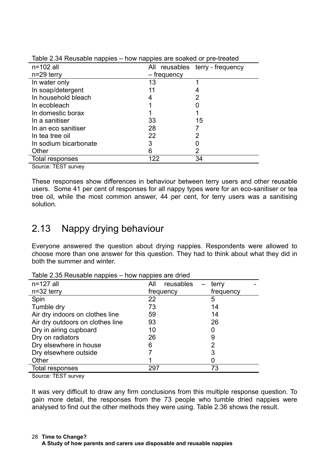| rapid E.d. I Rododbio Happido Thom Happido di o obditodi or pro trodtodi |             |                                 |
|--------------------------------------------------------------------------|-------------|---------------------------------|
| $n=102$ all                                                              |             | All reusables terry - frequency |
| $n=29$ terry                                                             | – frequency |                                 |
| In water only                                                            | 13          |                                 |
| In soap/detergent                                                        | 11          |                                 |
| In household bleach                                                      |             | 2                               |
| In ecobleach                                                             |             |                                 |
| In domestic borax                                                        |             |                                 |
| In a sanitiser                                                           | 33          | 15                              |
| In an eco sanitiser                                                      | 28          |                                 |
| In tea tree oil                                                          | 22          | 2                               |
| In sodium bicarbonate                                                    |             |                                 |
| Other                                                                    | 6           | 2                               |
| Total responses                                                          | 122         | 34                              |

| Table 2.34 Reusable nappies – how nappies are soaked or pre-treated |  |  |
|---------------------------------------------------------------------|--|--|

Source: TEST survey

These responses show differences in behaviour between terry users and other reusable users. Some 41 per cent of responses for all nappy types were for an eco-sanitiser or tea tree oil, while the most common answer, 44 per cent, for terry users was a sanitising solution.

# 2.13 Nappy drying behaviour

Everyone answered the question about drying nappies. Respondents were allowed to choose more than one answer for this question. They had to think about what they did in both the summer and winter.

| rapic 2.00 reusable happies – riow happies are urieu |                  |           |
|------------------------------------------------------|------------------|-----------|
| $n=127$ all                                          | All<br>reusables | terry     |
| $n=32$ terry                                         | frequency        | frequency |
| Spin                                                 | 22               | 5         |
| Tumble dry                                           | 73               | 14        |
| Air dry indoors on clothes line                      | 59               | 14        |
| Air dry outdoors on clothes line                     | 93               | 26        |
| Dry in airing cupboard                               | 10               | 0         |
| Dry on radiators                                     | 26               | 9         |
| Dry elsewhere in house                               | 6                | 2         |
| Dry elsewhere outside                                |                  | 3         |
| Other                                                |                  |           |
| Total responses                                      | 297              | 73        |
|                                                      |                  |           |

Table 2.35 Reusable nappies – how nappies are dried

Source: TEST survey

It was very difficult to draw any firm conclusions from this multiple response question. To gain more detail, the responses from the 73 people who tumble dried nappies were analysed to find out the other methods they were using. Table 2.36 shows the result.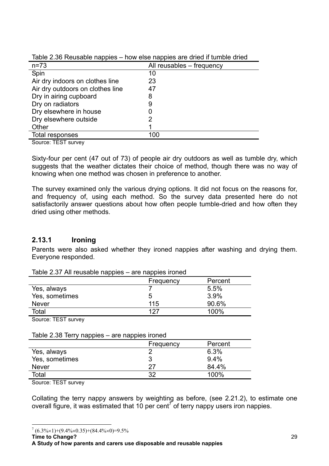| $n = 73$                         | All reusables - frequency |
|----------------------------------|---------------------------|
| Spin                             | 10                        |
| Air dry indoors on clothes line  | 23                        |
| Air dry outdoors on clothes line | 47                        |
| Dry in airing cupboard           | 8                         |
| Dry on radiators                 | 9                         |
| Dry elsewhere in house           |                           |
| Dry elsewhere outside            |                           |
| Other                            |                           |
| Total responses                  | 100                       |
|                                  |                           |

Table 2.36 Reusable nappies – how else nappies are dried if tumble dried

Source: TEST survey

Sixty-four per cent (47 out of 73) of people air dry outdoors as well as tumble dry, which suggests that the weather dictates their choice of method, though there was no way of knowing when one method was chosen in preference to another.

The survey examined only the various drying options. It did not focus on the reasons for, and frequency of, using each method. So the survey data presented here do not satisfactorily answer questions about how often people tumble-dried and how often they dried using other methods.

## **2.13.1 Ironing**

Parents were also asked whether they ironed nappies after washing and drying them. Everyone responded.

| Table 2.37 All reusable happies – are happies froned |           |         |  |  |  |  |
|------------------------------------------------------|-----------|---------|--|--|--|--|
|                                                      | Frequency | Percent |  |  |  |  |
| Yes, always                                          |           | 5.5%    |  |  |  |  |
| Yes, sometimes                                       | 5         | 3.9%    |  |  |  |  |
| <b>Never</b>                                         | 115       | 90.6%   |  |  |  |  |
| Total                                                | 127       | 100%    |  |  |  |  |
|                                                      |           |         |  |  |  |  |

Table 2.37 All reusable nappies – are nappies ironed

Source: TEST survey

| Table 2.38 Terry nappies – are nappies ironed |  |  |  |
|-----------------------------------------------|--|--|--|
|                                               |  |  |  |

|                | Frequency | Percent |
|----------------|-----------|---------|
| Yes, always    | ◠         | 6.3%    |
| Yes, sometimes | 3         | $9.4\%$ |
| <b>Never</b>   | つつ        | 84.4%   |
| Total          | າາ        | 100%    |

Source: TEST survey

Collating the terry nappy answers by weighting as before, (see 2.21.2), to estimate one overall figure, it was estimated that 10 per cent<sup>7</sup> of terry nappy users iron nappies.

**Time to Change?**

 $\overline{a}$  $7(6.3\% \times 1) + (9.4\% \times 0.35) + (84.4\% \times 0) = 9.5\%$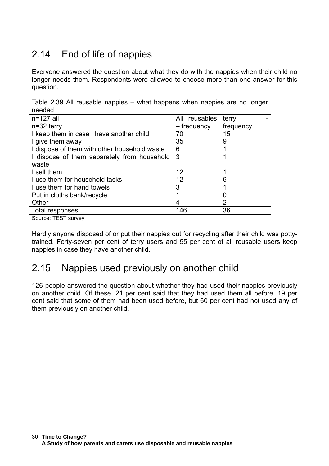# 2.14 End of life of nappies

Everyone answered the question about what they do with the nappies when their child no longer needs them. Respondents were allowed to choose more than one answer for this question.

|        | Table 2.39 All reusable nappies – what happens when nappies are no longer |  |  |  |  |
|--------|---------------------------------------------------------------------------|--|--|--|--|
| needed |                                                                           |  |  |  |  |

| $n=127$ all                                   | All reusables | terry     |
|-----------------------------------------------|---------------|-----------|
| $n=32$ terry                                  | – frequency   | frequency |
| I keep them in case I have another child      | 70            | 15        |
| I give them away                              | 35            | 9         |
| I dispose of them with other household waste  | 6             |           |
| I dispose of them separately from household 3 |               |           |
| waste                                         |               |           |
| I sell them                                   | 12            |           |
| I use them for household tasks                | 12            | 6         |
| I use them for hand towels                    | 3             |           |
| Put in cloths bank/recycle                    |               |           |
| Other                                         |               |           |
| Total responses                               | 146           | 36        |

Source: TEST survey

Hardly anyone disposed of or put their nappies out for recycling after their child was pottytrained. Forty-seven per cent of terry users and 55 per cent of all reusable users keep nappies in case they have another child.

# 2.15 Nappies used previously on another child

126 people answered the question about whether they had used their nappies previously on another child. Of these, 21 per cent said that they had used them all before, 19 per cent said that some of them had been used before, but 60 per cent had not used any of them previously on another child.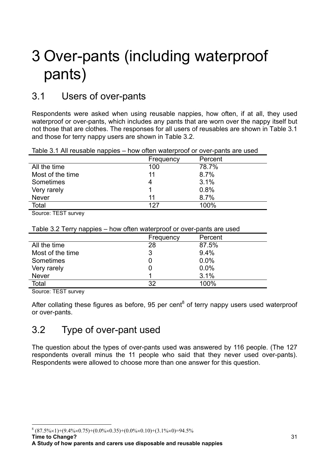# 3 Over-pants (including waterproof pants)

# 3.1 Users of over-pants

Respondents were asked when using reusable nappies, how often, if at all, they used waterproof or over-pants, which includes any pants that are worn over the nappy itself but not those that are clothes. The responses for all users of reusables are shown in Table 3.1 and those for terry nappy users are shown in Table 3.2.

| Table 3.1 All reusable nappies – how often waterproof or over-pants are used |  |  |
|------------------------------------------------------------------------------|--|--|
|                                                                              |  |  |
|                                                                              |  |  |

|                  | Frequency | Percent |
|------------------|-----------|---------|
| All the time     | 100       | 78.7%   |
| Most of the time | 11        | 8.7%    |
| Sometimes        | 4         | 3.1%    |
| Very rarely      |           | 0.8%    |
| <b>Never</b>     | 11        | 8.7%    |
| Total            | 127       | 100%    |

Source: TEST survey

Table 3.2 Terry nappies – how often waterproof or over-pants are used

|                  | Frequency | Percent |
|------------------|-----------|---------|
| All the time     | 28        | 87.5%   |
| Most of the time | 3         | 9.4%    |
| Sometimes        |           | 0.0%    |
| Very rarely      |           | 0.0%    |
| <b>Never</b>     |           | 3.1%    |
| Total            | 32        | 100%    |

Source: TEST survey

After collating these figures as before, 95 per cent<sup>8</sup> of terry nappy users used waterproof or over-pants.

# 3.2 Type of over-pant used

The question about the types of over-pants used was answered by 116 people. (The 127 respondents overall minus the 11 people who said that they never used over-pants). Respondents were allowed to choose more than one answer for this question.

**Time to Change?**

 $\overline{a}$ 

 $8 (87.5\% \times 1) + (9.4\% \times 0.75) + (0.0\% \times 0.35) + (0.0\% \times 0.10) + (3.1\% \times 0) = 94.5\%$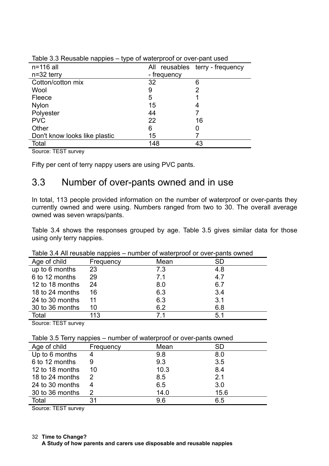| $n=116$ all                   |             | All reusables terry - frequency |
|-------------------------------|-------------|---------------------------------|
| $n=32$ terry                  | - frequency |                                 |
| Cotton/cotton mix             | 32          | 6                               |
| Wool                          | 9           | 2                               |
| Fleece                        | 5           |                                 |
| <b>Nylon</b>                  | 15          |                                 |
| Polyester                     | 44          |                                 |
| <b>PVC</b>                    | 22          | 16                              |
| Other                         | 6           |                                 |
| Don't know looks like plastic | 15          |                                 |
| Total                         | 148         | 43                              |

Table 3.3 Reusable nappies – type of waterproof or over-pant used

Source: TEST survey

Fifty per cent of terry nappy users are using PVC pants.

## 3.3 Number of over-pants owned and in use

In total, 113 people provided information on the number of waterproof or over-pants they currently owned and were using. Numbers ranged from two to 30. The overall average owned was seven wraps/pants.

Table 3.4 shows the responses grouped by age. Table 3.5 gives similar data for those using only terry nappies.

| rapic 0.47 in reasable happies |           | <b>NUMBER OF WAIGHTOOL OF OVER PARTIO OWNER</b> |           |
|--------------------------------|-----------|-------------------------------------------------|-----------|
| Age of child                   | Frequency | Mean                                            | <b>SD</b> |
| up to 6 months                 | 23        | 7.3                                             | 4.8       |
| 6 to 12 months                 | 29        | 7.1                                             | 4.7       |
| 12 to 18 months                | 24        | 8.0                                             | 6.7       |
| 18 to 24 months                | 16        | 6.3                                             | 3.4       |
| 24 to 30 months                | 11        | 6.3                                             | 3.1       |
| 30 to 36 months                | 10        | 6.2                                             | 6.8       |
| Total                          | 113       | 71                                              | 5.1       |

Table 3.4 All reusable nappies – number of waterproof or over-pants owned

Source: TEST survey

|  |  |  |  |  | Table 3.5 Terry nappies – number of waterproof or over-pants owned |
|--|--|--|--|--|--------------------------------------------------------------------|
|--|--|--|--|--|--------------------------------------------------------------------|

| Age of child    | Frequency | Mean | <b>SD</b> |
|-----------------|-----------|------|-----------|
| Up to 6 months  | 4         | 9.8  | 8.0       |
| 6 to 12 months  | 9         | 9.3  | 3.5       |
| 12 to 18 months | 10        | 10.3 | 8.4       |
| 18 to 24 months |           | 8.5  | 2.1       |
| 24 to 30 months |           | 6.5  | 3.0       |
| 30 to 36 months | 2         | 14.0 | 15.6      |
| Total           | 31        | 9.6  | 6.5       |

Source: TEST survey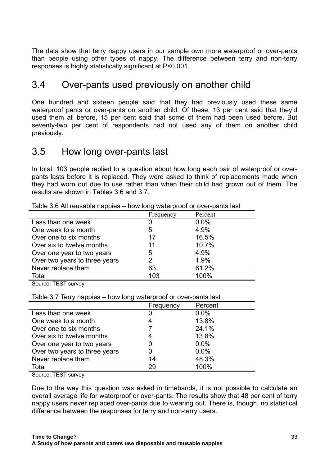The data show that terry nappy users in our sample own more waterproof or over-pants than people using other types of nappy. The difference between terry and non-terry responses is highly statistically significant at P<0.001.

# 3.4 Over-pants used previously on another child

One hundred and sixteen people said that they had previously used these same waterproof pants or over-pants on another child. Of these, 13 per cent said that they'd used them all before, 15 per cent said that some of them had been used before. But seventy-two per cent of respondents had not used any of them on another child previously.

## 3.5 How long over-pants last

In total, 103 people replied to a question about how long each pair of waterproof or overpants lasts before it is replaced. They were asked to think of replacements made when they had worn out due to use rather than when their child had grown out of them. The results are shown in Tables 3.6 and 3.7.

| <b>RESIDENT PRODUCTIONS</b>   | now long watchproof or over partie last |         |
|-------------------------------|-----------------------------------------|---------|
|                               | Frequency                               | Percent |
| Less than one week            |                                         | $0.0\%$ |
| One week to a month           | 5                                       | 4.9%    |
| Over one to six months        | 17                                      | 16.5%   |
| Over six to twelve months     | 11                                      | 10.7%   |
| Over one year to two years    | 5                                       | 4.9%    |
| Over two years to three years | 2                                       | 1.9%    |
| Never replace them            | 63                                      | 61.2%   |
| Total                         | 103                                     | 100%    |

Table 3.6 All reusable nappies – how long waterproof or over-pants last

Source: TEST survey

|                               | Frequency | Percent |
|-------------------------------|-----------|---------|
| Less than one week            |           | 0.0%    |
| One week to a month           |           | 13.8%   |
| Over one to six months        |           | 24.1%   |
| Over six to twelve months     |           | 13.8%   |
| Over one year to two years    |           | 0.0%    |
| Over two years to three years |           | 0.0%    |
| Never replace them            | 14        | 48.3%   |
| Total                         | 29        | 100%    |

Source: TEST survey

Due to the way this question was asked in timebands, it is not possible to calculate an overall average life for waterproof or over-pants. The results show that 48 per cent of terry nappy users never replaced over-pants due to wearing out. There is, though, no statistical difference between the responses for terry and non-terry users.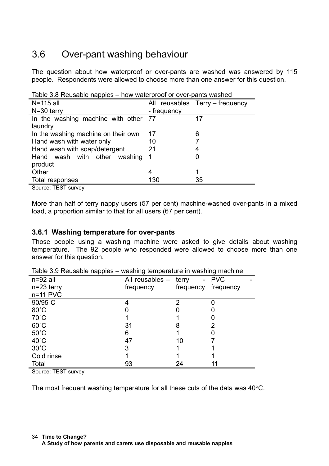# 3.6 Over-pant washing behaviour

The question about how waterproof or over-pants are washed was answered by 115 people. Respondents were allowed to choose more than one answer for this question.

| <u>iaule 3.0 Neusaule liappies – liuw waleipiuul ul ovel-pallis wasileu</u> |             |                                 |
|-----------------------------------------------------------------------------|-------------|---------------------------------|
| N=115 all                                                                   |             | All reusables Terry – frequency |
| $N=30$ terry                                                                | - frequency |                                 |
| In the washing machine with other 77                                        |             | 17                              |
| laundry                                                                     |             |                                 |
| In the washing machine on their own                                         | 17          | 6                               |
| Hand wash with water only                                                   | 10          |                                 |
| Hand wash with soap/detergent                                               | 21          | 4                               |
| Hand wash with other washing                                                | -1          |                                 |
| product                                                                     |             |                                 |
| Other                                                                       | 4           |                                 |
| Total responses                                                             | 130         | 35                              |

Table 3.8 Reusable nappies – how waterproof or over-pants washed

Source: TEST survey

More than half of terry nappy users (57 per cent) machine-washed over-pants in a mixed load, a proportion similar to that for all users (67 per cent).

## **3.6.1 Washing temperature for over-pants**

Those people using a washing machine were asked to give details about washing temperature. The 92 people who responded were allowed to choose more than one answer for this question.

| rapio 0.0 riododbio riappico | maching tomporature in maching machine |            |            |
|------------------------------|----------------------------------------|------------|------------|
| $n=92$ all                   | All reusables -                        | terry<br>- | <b>PVC</b> |
| $n=23$ terry                 | frequency                              | frequency  | frequency  |
| $n=11$ PVC                   |                                        |            |            |
| 90/95°C                      |                                        | າ          |            |
| $80^{\circ}$ C               |                                        |            |            |
| $70^{\circ}$ C               |                                        |            |            |
| $60^{\circ}$ C               | 31                                     |            | 2          |
| $50^{\circ}$ C               | 6                                      |            |            |
| $40^{\circ}$ C               | 47                                     | 10         |            |
| $30^{\circ}$ C               | 3                                      |            |            |
| Cold rinse                   |                                        |            |            |
| Total                        | 93                                     | 24         |            |

Table 3.9 Reusable nappies – washing temperature in washing machine

Source: TEST survey

The most frequent washing temperature for all these cuts of the data was 40°C.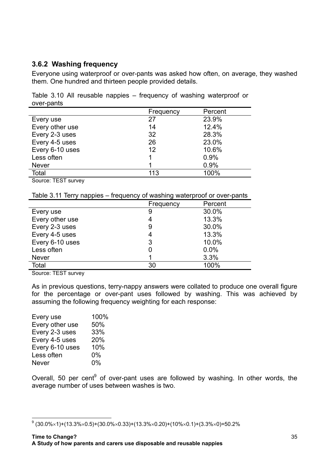## **3.6.2 Washing frequency**

Everyone using waterproof or over-pants was asked how often, on average, they washed them. One hundred and thirteen people provided details.

Table 3.10 All reusable nappies – frequency of washing waterproof or over-pants

|                 | Frequency | Percent |
|-----------------|-----------|---------|
| Every use       | 27        | 23.9%   |
| Every other use | 14        | 12.4%   |
| Every 2-3 uses  | 32        | 28.3%   |
| Every 4-5 uses  | 26        | 23.0%   |
| Every 6-10 uses | 12        | 10.6%   |
| Less often      | 1         | 0.9%    |
| <b>Never</b>    |           | 0.9%    |
| Total           | 113       | 100%    |

Source: TEST survey

Table 3.11 Terry nappies – frequency of washing waterproof or over-pants

|                 | Frequency | Percent |
|-----------------|-----------|---------|
| Every use       | 9         | 30.0%   |
| Every other use | 4         | 13.3%   |
| Every 2-3 uses  | 9         | 30.0%   |
| Every 4-5 uses  | 4         | 13.3%   |
| Every 6-10 uses | 3         | 10.0%   |
| Less often      |           | 0.0%    |
| <b>Never</b>    | ◀         | 3.3%    |
| Total           | 30        | 100%    |

Source: TEST survey

As in previous questions, terry-nappy answers were collated to produce one overall figure for the percentage or over-pant uses followed by washing. This was achieved by assuming the following frequency weighting for each response:

| Every use       | 100% |
|-----------------|------|
| Every other use | 50%  |
| Every 2-3 uses  | 33%  |
| Every 4-5 uses  | 20%  |
| Every 6-10 uses | 10%  |
| Less often      | 0%   |
| Never           | 0%   |
|                 |      |

Overall, 50 per cent $9$  of over-pant uses are followed by washing. In other words, the average number of uses between washes is two.

 9 (30.0%×1)+(13.3%×0.5)+(30.0%×0.33)+(13.3%×0.20)+(10%×0.1)+(3.3%×0)=50.2%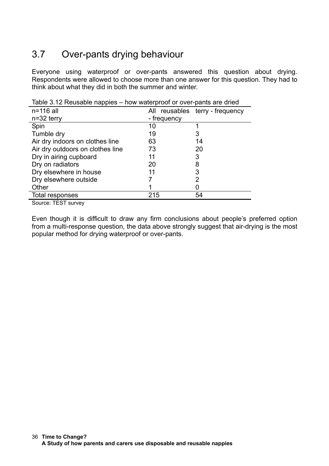# 3.7 Over-pants drying behaviour

Everyone using waterproof or over-pants answered this question about drying. Respondents were allowed to choose more than one answer for this question. They had to think about what they did in both the summer and winter.

| $n=116$ all                      |             | All reusables terry - frequency |
|----------------------------------|-------------|---------------------------------|
| $n=32$ terry                     | - frequency |                                 |
| Spin                             | 10          |                                 |
| Tumble dry                       | 19          |                                 |
| Air dry indoors on clothes line  | 63          | 14                              |
| Air dry outdoors on clothes line | 73          | 20                              |
| Dry in airing cupboard           | 11          | 3                               |
| Dry on radiators                 | 20          | 8                               |
| Dry elsewhere in house           | 11          | 3                               |
| Dry elsewhere outside            |             | 2                               |
| Other                            |             |                                 |
| Total responses                  | 215         | 54                              |

Table 3.12 Reusable nappies – how waterproof or over-pants are dried

Source: TEST survey

Even though it is difficult to draw any firm conclusions about people's preferred option from a multi-response question, the data above strongly suggest that air-drying is the most popular method for drying waterproof or over-pants.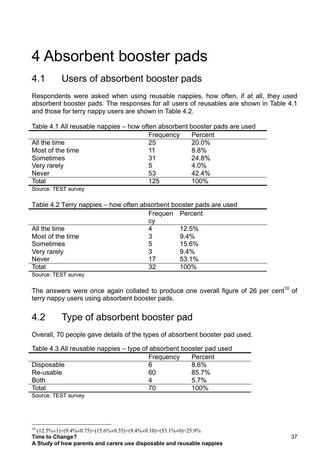# 4 Absorbent booster pads

# 4.1 Users of absorbent booster pads

Respondents were asked when using reusable nappies, how often, if at all, they used absorbent booster pads. The responses for all users of reusables are shown in Table 4.1 and those for terry nappy users are shown in Table 4.2.

|                  | Frequency | Percent |
|------------------|-----------|---------|
| All the time     | 25        | 20.0%   |
| Most of the time | 11        | 8.8%    |
| Sometimes        | 31        | 24.8%   |
| Very rarely      | 5         | 4.0%    |
| <b>Never</b>     | 53        | 42.4%   |
| Total            | 125       | 100%    |
|                  |           |         |

Table 4.1 All reusable nappies – how often absorbent booster pads are used

Source: TEST survey

### Table 4.2 Terry nappies – how often absorbent booster pads are used

|                   | Frequen Percent |       |
|-------------------|-----------------|-------|
|                   | СV              |       |
| All the time      | 4               | 12.5% |
| Most of the time. | 3               | 9.4%  |
| Sometimes         | 5               | 15.6% |
| Very rarely       | 3               | 9.4%  |
| <b>Never</b>      | 17              | 53.1% |
| Total             | 32              | 100%  |

Source: TEST survey

The answers were once again collated to produce one overall figure of 26 per cent<sup>10</sup> of terry nappy users using absorbent booster pads.

## 4.2 Type of absorbent booster pad

Overall, 70 people gave details of the types of absorbent booster pad used.

| -                 |           |         |
|-------------------|-----------|---------|
|                   | Frequency | Percent |
| <b>Disposable</b> | 6         | 8.6%    |
| Re-usable         | 60        | 85.7%   |
| <b>Both</b>       |           | 5.7%    |
| Total             |           | 100%    |
| $\sim$<br>-----   |           |         |

Source: TEST survey

 $10$  (12.5%×1)+(9.4%×0.75)+(15.6%×0.35)+(9.4%×0.10)+(53.1%×0)=25.9%

**Time to Change?**

 $\overline{a}$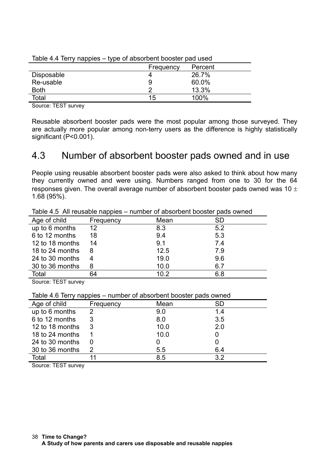|             | Frequency | Percent |  |
|-------------|-----------|---------|--|
| Disposable  |           | 26.7%   |  |
| Re-usable   | 9         | 60.0%   |  |
| <b>Both</b> | ◠         | 13.3%   |  |
| Total       | 15        | 100%    |  |
|             |           |         |  |

Table 4.4 Terry nappies – type of absorbent booster pad used

Source: TEST survey

Reusable absorbent booster pads were the most popular among those surveyed. They are actually more popular among non-terry users as the difference is highly statistically significant (P<0.001).

## 4.3 Number of absorbent booster pads owned and in use

People using reusable absorbent booster pads were also asked to think about how many they currently owned and were using. Numbers ranged from one to 30 for the 64 responses given. The overall average number of absorbent booster pads owned was 10  $\pm$ 1.68 (95%).

| rapio no minoacapio nappico |           |      |     |  |
|-----------------------------|-----------|------|-----|--|
| Age of child                | Frequency | Mean | SD  |  |
| up to 6 months              | 12        | 8.3  | 5.2 |  |
| 6 to 12 months              | 18        | 9.4  | 5.3 |  |
| 12 to 18 months             | 14        | 9.1  | 7.4 |  |
| 18 to 24 months             | 8         | 12.5 | 7.9 |  |
| 24 to 30 months             |           | 19.0 | 9.6 |  |
| 30 to 36 months             | 8         | 10.0 | 6.7 |  |
| Total                       | 64        | 10.2 | 6.8 |  |
|                             |           |      |     |  |

Table 4.5 All reusable nappies – number of absorbent booster pads owned

Source: TEST survey

| Table 4.6 Terry nappies – number of absorbent booster pads owned |
|------------------------------------------------------------------|
|------------------------------------------------------------------|

| Age of child    | Frequency | Mean | SD. |
|-----------------|-----------|------|-----|
|                 | 2         |      |     |
| up to 6 months  |           | 9.0  | 1.4 |
| 6 to 12 months  | 3         | 8.0  | 3.5 |
| 12 to 18 months |           | 10.0 | 2.0 |
| 18 to 24 months |           | 10.0 |     |
| 24 to 30 months |           |      |     |
| 30 to 36 months |           | 5.5  | 6.4 |
| Total           |           | 8.5  | 32  |

Source: TEST survey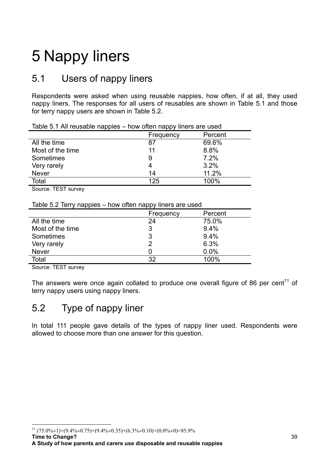# 5 Nappy liners

# 5.1 Users of nappy liners

Respondents were asked when using reusable nappies, how often, if at all, they used nappy liners. The responses for all users of reusables are shown in Table 5.1 and those for terry nappy users are shown in Table 5.2.

|                  | Frequency | Percent |  |
|------------------|-----------|---------|--|
| All the time     | 87        | 69.6%   |  |
| Most of the time | 11        | 8.8%    |  |
| Sometimes        | 9         | 7.2%    |  |
| Very rarely      |           | 3.2%    |  |
| <b>Never</b>     | 14        | 11.2%   |  |
| Total            | 125       | 100%    |  |
|                  |           |         |  |

Table 5.1 All reusable nappies – how often nappy liners are used

Source: TEST survey

Table 5.2 Terry nappies – how often nappy liners are used

|                  | Frequency | Percent |
|------------------|-----------|---------|
| All the time     | 24        | 75.0%   |
| Most of the time | 3         | 9.4%    |
| Sometimes        | 3         | 9.4%    |
| Very rarely      | 2         | 6.3%    |
| <b>Never</b>     |           | 0.0%    |
| Total            | つ         | 100%    |

Source: TEST survey

The answers were once again collated to produce one overall figure of 86 per cent<sup>11</sup> of terry nappy users using nappy liners.

# 5.2 Type of nappy liner

In total 111 people gave details of the types of nappy liner used. Respondents were allowed to choose more than one answer for this question.

**Time to Change?**

 $\overline{a}$ 

 $^{11}$  (75.0%×1)+(9.4%×0.75)+(9.4%×0.35)+(6.3%×0.10)+(0.0%×0)=85.9%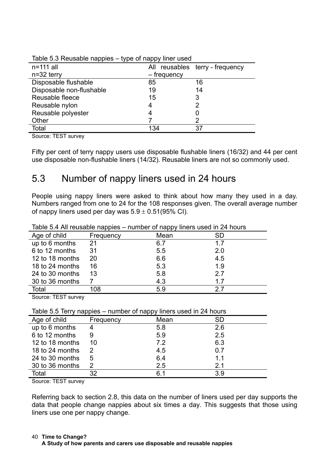| $n=111$ all              |             | All reusables terry - frequency |
|--------------------------|-------------|---------------------------------|
| $n=32$ terry             | – frequency |                                 |
| Disposable flushable     | 85          | 16                              |
| Disposable non-flushable | 19          | 14                              |
| Reusable fleece          | 15          | 3                               |
| Reusable nylon           | 4           |                                 |
| Reusable polyester       |             |                                 |
| Other                    |             |                                 |
| Total                    | 134         | 37                              |

Table 5.3 Reusable nappies – type of nappy liner used

Source: TEST survey

Fifty per cent of terry nappy users use disposable flushable liners (16/32) and 44 per cent use disposable non-flushable liners (14/32). Reusable liners are not so commonly used.

## 5.3 Number of nappy liners used in 24 hours

People using nappy liners were asked to think about how many they used in a day. Numbers ranged from one to 24 for the 108 responses given. The overall average number of nappy liners used per day was  $5.9 \pm 0.51$ (95% CI).

|                 | . .       | .    |           |
|-----------------|-----------|------|-----------|
| Age of child    | Frequency | Mean | <b>SD</b> |
| up to 6 months  | 21        | 6.7  | 1.7       |
| 6 to 12 months  | 31        | 5.5  | 2.0       |
| 12 to 18 months | 20        | 6.6  | 4.5       |
| 18 to 24 months | 16        | 5.3  | 1.9       |
| 24 to 30 months | 13        | 5.8  | 2.7       |
| 30 to 36 months |           | 4.3  | 1.7       |
| Total           | 108       | 5.9  | 27        |

Table 5.4 All reusable nappies – number of nappy liners used in 24 hours

Source: TEST survey

Table 5.5 Terry nappies – number of nappy liners used in 24 hours

| Age of child    | Frequency | Mean | <b>SD</b> |
|-----------------|-----------|------|-----------|
| up to 6 months  |           | 5.8  | 2.6       |
| 6 to 12 months  | 9         | 5.9  | 2.5       |
| 12 to 18 months | 10        | 7.2  | 6.3       |
| 18 to 24 months |           | 4.5  | 0.7       |
| 24 to 30 months | 5         | 6.4  | 1.1       |
| 30 to 36 months | 2         | 2.5  | 2.1       |
| Total           | 32        | 6.1  | 3.9       |

Source: TEST survey

Referring back to section 2.8, this data on the number of liners used per day supports the data that people change nappies about six times a day. This suggests that those using liners use one per nappy change.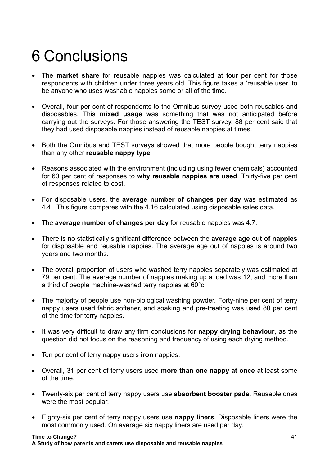# 6 Conclusions

- The **market share** for reusable nappies was calculated at four per cent for those respondents with children under three years old. This figure takes a 'reusable user' to be anyone who uses washable nappies some or all of the time.
- Overall, four per cent of respondents to the Omnibus survey used both reusables and disposables. This **mixed usage** was something that was not anticipated before carrying out the surveys. For those answering the TEST survey, 88 per cent said that they had used disposable nappies instead of reusable nappies at times.
- Both the Omnibus and TEST surveys showed that more people bought terry nappies than any other **reusable nappy type**.
- Reasons associated with the environment (including using fewer chemicals) accounted for 60 per cent of responses to **why reusable nappies are used**. Thirty-five per cent of responses related to cost.
- For disposable users, the **average number of changes per day** was estimated as 4.4. This figure compares with the 4.16 calculated using disposable sales data.
- The **average number of changes per day** for reusable nappies was 4.7.
- There is no statistically significant difference between the **average age out of nappies** for disposable and reusable nappies. The average age out of nappies is around two years and two months.
- The overall proportion of users who washed terry nappies separately was estimated at 79 per cent. The average number of nappies making up a load was 12, and more than a third of people machine-washed terry nappies at 60°c.
- The majority of people use non-biological washing powder. Forty-nine per cent of terry nappy users used fabric softener, and soaking and pre-treating was used 80 per cent of the time for terry nappies.
- It was very difficult to draw any firm conclusions for **nappy drying behaviour**, as the question did not focus on the reasoning and frequency of using each drying method.
- Ten per cent of terry nappy users **iron** nappies.
- Overall, 31 per cent of terry users used **more than one nappy at once** at least some of the time.
- Twenty-six per cent of terry nappy users use **absorbent booster pads**. Reusable ones were the most popular.
- Eighty-six per cent of terry nappy users use **nappy liners**. Disposable liners were the most commonly used. On average six nappy liners are used per day.

**Time to Change? A Study of how parents and carers use disposable and reusable nappies**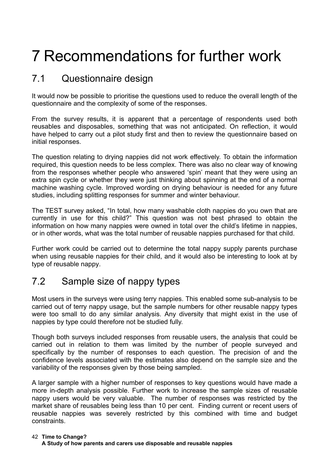# 7 Recommendations for further work

# 7.1 Questionnaire design

It would now be possible to prioritise the questions used to reduce the overall length of the questionnaire and the complexity of some of the responses.

From the survey results, it is apparent that a percentage of respondents used both reusables and disposables, something that was not anticipated. On reflection, it would have helped to carry out a pilot study first and then to review the questionnaire based on initial responses.

The question relating to drying nappies did not work effectively. To obtain the information required, this question needs to be less complex. There was also no clear way of knowing from the responses whether people who answered 'spin' meant that they were using an extra spin cycle or whether they were just thinking about spinning at the end of a normal machine washing cycle. Improved wording on drying behaviour is needed for any future studies, including splitting responses for summer and winter behaviour.

The TEST survey asked, "In total, how many washable cloth nappies do you own that are currently in use for this child?" This question was not best phrased to obtain the information on how many nappies were owned in total over the child's lifetime in nappies, or in other words, what was the total number of reusable nappies purchased for that child.

Further work could be carried out to determine the total nappy supply parents purchase when using reusable nappies for their child, and it would also be interesting to look at by type of reusable nappy.

# 7.2 Sample size of nappy types

Most users in the surveys were using terry nappies. This enabled some sub-analysis to be carried out of terry nappy usage, but the sample numbers for other reusable nappy types were too small to do any similar analysis. Any diversity that might exist in the use of nappies by type could therefore not be studied fully.

Though both surveys included responses from reusable users, the analysis that could be carried out in relation to them was limited by the number of people surveyed and specifically by the number of responses to each question. The precision of and the confidence levels associated with the estimates also depend on the sample size and the variability of the responses given by those being sampled.

A larger sample with a higher number of responses to key questions would have made a more in-depth analysis possible. Further work to increase the sample sizes of reusable nappy users would be very valuable. The number of responses was restricted by the market share of reusables being less than 10 per cent. Finding current or recent users of reusable nappies was severely restricted by this combined with time and budget constraints.

### **Time to Change?** 42 **A Study of how parents and carers use disposable and reusable nappies**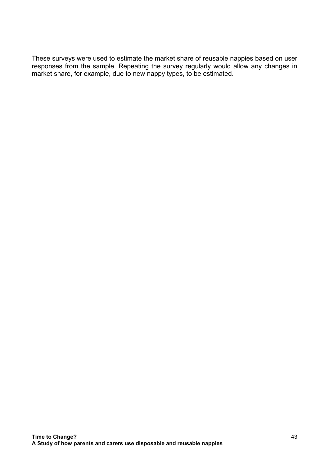These surveys were used to estimate the market share of reusable nappies based on user responses from the sample. Repeating the survey regularly would allow any changes in market share, for example, due to new nappy types, to be estimated.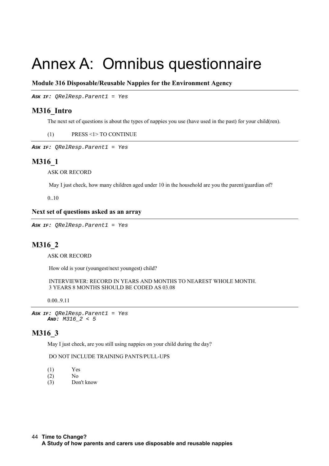# Annex A: Omnibus questionnaire

### **Module 316 Disposable/Reusable Nappies for the Environment Agency**

**ASK IF:** QRelResp.Parent1 = Yes

### **M316\_Intro**

The next set of questions is about the types of nappies you use (have used in the past) for your child(ren).

(1) PRESS <1> TO CONTINUE

**ASK IF:** QRelResp.Parent1 = Yes

### **M316\_1**

ASK OR RECORD

May I just check, how many children aged under 10 in the household are you the parent/guardian of?

0..10

#### **Next set of questions asked as an array**

**ASK IF:** QRelResp.Parent1 = Yes

### **M316\_2**

ASK OR RECORD

How old is your (youngest/next youngest) child?

 INTERVIEWER: RECORD IN YEARS AND MONTHS TO NEAREST WHOLE MONTH. 3 YEARS 8 MONTHS SHOULD BE CODED AS 03.08

0.00..9.11

**ASK IF:** QRelResp.Parent1 = Yes **AND:** M316\_2 < 5

### **M316\_3**

May I just check, are you still using nappies on your child during the day?

### DO NOT INCLUDE TRAINING PANTS/PULL-UPS

- (1) Yes
- (2) No
- (3) Don't know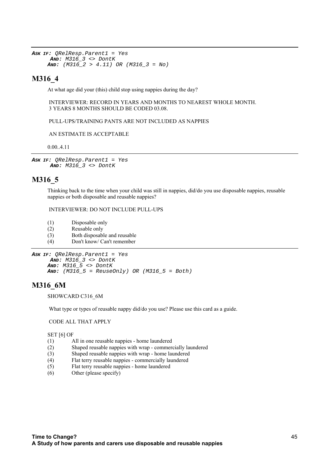```
ASK IF: QRelResp.Parent1 = Yes
 AND: M316_3 <> DontK
AND: (M316 2 > 4.11) OR (M316 3 = No)
```
### **M316\_4**

At what age did your (this) child stop using nappies during the day?

 INTERVIEWER: RECORD IN YEARS AND MONTHS TO NEAREST WHOLE MONTH. 3 YEARS 8 MONTHS SHOULD BE CODED 03.08.

PULL-UPS/TRAINING PANTS ARE NOT INCLUDED AS NAPPIES

AN ESTIMATE IS ACCEPTABLE

0.00..4.11

**ASK IF:** QRelResp.Parent1 = Yes **AND:** M316\_3 <> DontK

### **M316\_5**

Thinking back to the time when your child was still in nappies, did/do you use disposable nappies, reusable nappies or both disposable and reusable nappies?

INTERVIEWER: DO NOT INCLUDE PULL-UPS

- (1) Disposable only
- (2) Reusable only
- (3) Both disposable and reusable
- (4) Don't know/ Can't remember

```
ASK IF: QRelResp.Parent1 = Yes
 AND: M316_3 <> DontK
 AND: M316_5 <> DontK
AND: (M316_5 = ReuseOnly) OR (M316_5 = Both)
```
### **M316\_6M**

SHOWCARD C316\_6M

What type or types of reusable nappy did/do you use? Please use this card as a guide.

CODE ALL THAT APPLY

SET [6] OF

- (1) All in one reusable nappies home laundered
- (2) Shaped reusable nappies with wrap commercially laundered
- (3) Shaped reusable nappies with wrap home laundered
- (4) Flat terry reusable nappies commercially laundered
- (5) Flat terry reusable nappies home laundered
- (6) Other (please specify)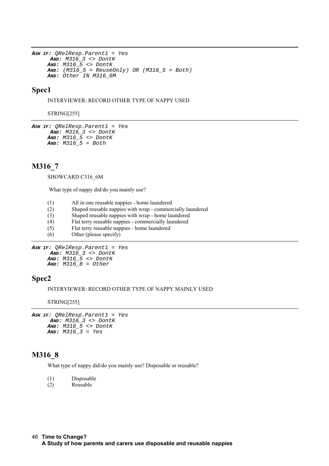```
ASK IF: QRelResp.Parent1 = Yes
 AND: M316_3 <> DontK
AND: M316_5 <> DontK
AND: (M3165 = ReuseOnly) OR (M316 5 = Both)
AND: Other IN M316_6M
```
### **Spec1**

INTERVIEWER: RECORD OTHER TYPE OF NAPPY USED

STRING[255]

```
ASK IF: QRelResp.Parent1 = Yes
 AND: M316_3 <> DontK
 AND: M316_5 <> DontK
AND: M316_5 = Both
```
### **M316\_7**

SHOWCARD C316\_6M

What type of nappy did/do you mainly use?

- (1) All in one reusable nappies home laundered
- (2) Shaped reusable nappies with wrap commercially laundered
- (3) Shaped reusable nappies with wrap home laundered
- (4) Flat terry reusable nappies commercially laundered
- (5) Flat terry reusable nappies home laundered
- (6) Other (please specify)

```
ASK IF: QRelResp.Parent1 = Yes
         AND: M316_3 <> DontK
        AND: M316_5 <> DontK
        \textbf{A} \textbf{N} \textbf{D}: \ \ \textbf{M} \textbf{3} \textbf{1} \textbf{6} \ \ \ \textbf{8} = \textbf{O} \textbf{t} \textbf{h} \textbf{e} \textbf{r}
```
### **Spec2**

INTERVIEWER: RECORD OTHER TYPE OF NAPPY MAINLY USED

STRING[255]

```
ASK IF: QRelResp.Parent1 = Yes
 AND: M316_3 <> DontK
 AND: M316_5 <> DontK
 AND: M316_3 = Yes
```
### **M316\_8**

What type of nappy did/do you mainly use? Disposable or reusable?

(1) Disposable

(2) Reusable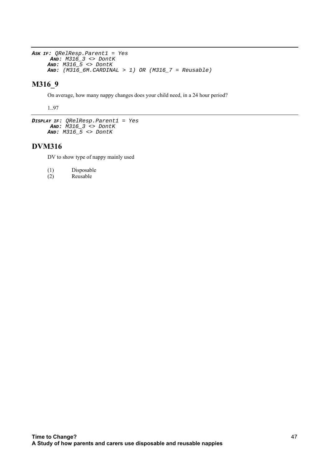```
ASK IF: QRelResp.Parent1 = Yes
 AND: M316_3 <> DontK
AND: M316_5 <> DontK
AND: (M316 6M.CARDINAL > 1) OR (M316 7 = Reusable)
```
## **M316\_9**

On average, how many nappy changes does your child need, in a 24 hour period?

1..97

```
DISPLAY IF: QRelResp.Parent1 = Yes
 AND: M316_3 <> DontK
 AND: M316_5 <> DontK
```
### **DVM316**

DV to show type of nappy mainly used

- (1) Disposable
- (2) Reusable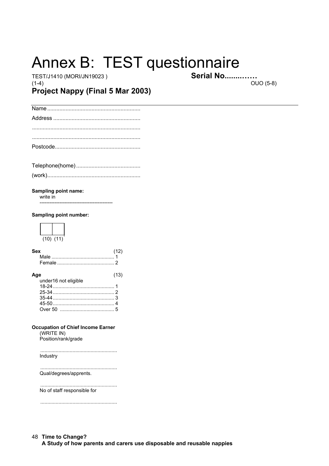# Annex B: TEST questionnaire

TEST/J1410 (MORI/JN19023)  $(1-4)$ 

**Serial No............. OUO (5-8)** 

## Project Nappy (Final 5 Mar 2003)

-------------------------

#### Sampling point name:

write in

### Sampling point number:



| Sex | (12) |
|-----|------|
|     |      |
|     |      |
|     |      |

| Age                               | (13) |
|-----------------------------------|------|
| under16 not eligible              |      |
|                                   |      |
|                                   |      |
|                                   |      |
|                                   |      |
| Over 50 [ <i>maximumumumumu</i> 5 |      |

#### **Occupation of Chief Income Earner**

 $(WRITE IN)$ Position/rank/grade

Industry

Qual/degrees/apprents.

No of staff responsible for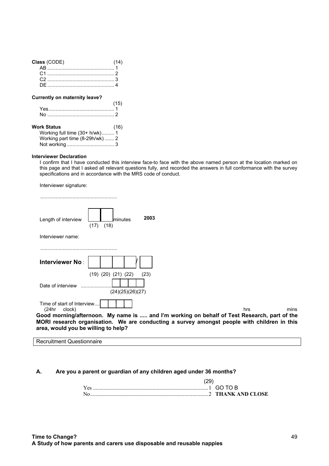| Class (CODE) |  |
|--------------|--|
|              |  |
|              |  |
|              |  |
|              |  |

#### **Currently on maternity leave?**

| Yes. |  |
|------|--|
|      |  |

| Work Status                      | (16) |
|----------------------------------|------|
| Working full time (30+ h/wk)1    |      |
| Working part time $(8-29h/wk)$ 2 |      |
|                                  |      |

#### **Interviewer Declaration**

I confirm that I have conducted this interview face-to face with the above named person at the location marked on this page and that I asked all relevant questions fully, and recorded the answers in full conformance with the survey specifications and in accordance with the MRS code of conduct.

| Interviewer signature:                        |                                                                                                                                                                                            |      |     |      |
|-----------------------------------------------|--------------------------------------------------------------------------------------------------------------------------------------------------------------------------------------------|------|-----|------|
|                                               |                                                                                                                                                                                            |      |     |      |
| Length of interview                           | minutes<br>(18)<br>(17)                                                                                                                                                                    | 2003 |     |      |
| Interviewer name:                             |                                                                                                                                                                                            |      |     |      |
| Interviewer No:<br>Date of interview          | $(19)$ $(20)$ $(21)$ $(22)$<br>(24)(25)(26)(27)                                                                                                                                            | (23) |     |      |
| Time of start of Interview<br>(24hr<br>clock) |                                                                                                                                                                                            |      | hrs | mins |
| area, would you be willing to help?           | Good morning/afternoon. My name is  and I'm working on behalf of Test Research, part of the<br>MORI research organisation. We are conducting a survey amongst people with children in this |      |     |      |

### **A. Are you a parent or guardian of any children aged under 36 months?**

| Yes     |  |
|---------|--|
| $N_{0}$ |  |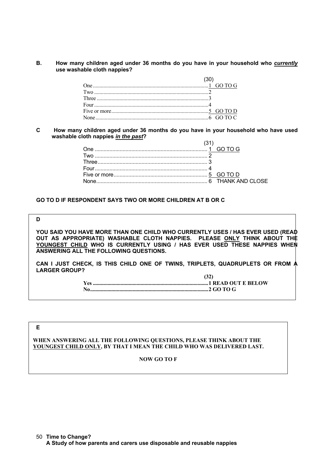### **B. How many children aged under 36 months do you have in your household who** *currently* **use washable cloth nappies?**

| Four $\frac{4}{3}$ |  |
|--------------------|--|
|                    |  |
|                    |  |

### **C How many children aged under 36 months do you have in your household who have used washable cloth nappies** *in the past***?**

### **GO TO D IF RESPONDENT SAYS TWO OR MORE CHILDREN AT B OR C**

#### **D**

**YOU SAID YOU HAVE MORE THAN ONE CHILD WHO CURRENTLY USES / HAS EVER USED (READ OUT AS APPROPRIATE) WASHABLE CLOTH NAPPIES. PLEASE ONLY THINK ABOUT THE YOUNGEST CHILD WHO IS CURRENTLY USING / HAS EVER USED THESE NAPPIES WHEN ANSWERING ALL THE FOLLOWING QUESTIONS.**

**CAN I JUST CHECK, IS THIS CHILD ONE OF TWINS, TRIPLETS, QUADRUPLETS OR FROM A LARGER GROUP? (32)**

| 1J41 |
|------|
|      |
|      |

### **E**

### **WHEN ANSWERING ALL THE FOLLOWING QUESTIONS, PLEASE THINK ABOUT THE YOUNGEST CHILD ONLY, BY THAT I MEAN THE CHILD WHO WAS DELIVERED LAST.**

### **NOW GO TO F**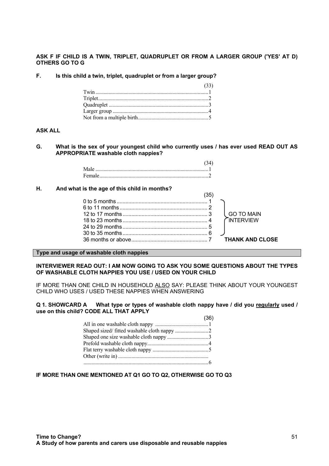**ASK F IF CHILD IS A TWIN, TRIPLET, QUADRUPLET OR FROM A LARGER GROUP ('YES' AT D) OTHERS GO TO G**

**F. Is this child a twin, triplet, quadruplet or from a larger group?**

| (33) |
|------|
|      |
|      |
|      |
|      |
|      |

### **ASK ALL**

**G. What is the sex of your youngest child who currently uses / has ever used READ OUT AS APPROPRIATE washable cloth nappies?**

### **H. And what is the age of this child in months?**

| 35 |                        |
|----|------------------------|
|    |                        |
|    |                        |
|    | GO TO MAIN             |
|    | CINTERVIEW             |
|    |                        |
|    |                        |
|    | <b>THANK AND CLOSE</b> |
|    |                        |

**Type and usage of washable cloth nappies**

**INTERVIEWER READ OUT: I AM NOW GOING TO ASK YOU SOME QUESTIONS ABOUT THE TYPES OF WASHABLE CLOTH NAPPIES YOU USE / USED ON YOUR CHILD**

IF MORE THAN ONE CHILD IN HOUSEHOLD ALSO SAY: PLEASE THINK ABOUT YOUR YOUNGEST CHILD WHO USES / USED THESE NAPPIES WHEN ANSWERING

#### **Q 1. SHOWCARD A What type or types of washable cloth nappy have / did you regularly used / use on this child? CODE ALL THAT APPLY**

| (36) |
|------|
|      |
|      |
|      |
|      |
|      |
|      |
|      |

### **IF MORE THAN ONE MENTIONED AT Q1 GO TO Q2, OTHERWISE GO TO Q3**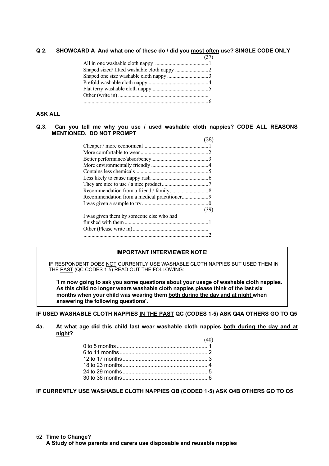**Q 2. SHOWCARD A And what one of these do / did you most often use? SINGLE CODE ONLY**

### **ASK ALL**

### **Q.3. Can you tell me why you use / used washable cloth nappies? CODE ALL REASONS MENTIONED. DO NOT PROMPT**

|                                          | (38) |
|------------------------------------------|------|
|                                          |      |
|                                          |      |
|                                          |      |
|                                          |      |
|                                          |      |
|                                          |      |
|                                          |      |
|                                          |      |
|                                          |      |
|                                          |      |
|                                          | (39) |
| I was given them by someone else who had |      |
|                                          |      |
|                                          |      |
|                                          |      |

### **IMPORTANT INTERVIEWER NOTE!**

IF RESPONDENT DOES NOT CURRENTLY USE WASHABLE CLOTH NAPPIES BUT USED THEM IN THE PAST (QC CODES 1-5) READ OUT THE FOLLOWING:

**'I m now going to ask you some questions about your usage of washable cloth nappies. As this child no longer wears washable cloth nappies please think of the last six months when your child was wearing them both during the day and at night when answering the following questions'.**

**IF USED WASHABLE CLOTH NAPPIES IN THE PAST QC (CODES 1-5) ASK Q4A OTHERS GO TO Q5**

**4a. At what age did this child last wear washable cloth nappies both during the day and at night?**  $(40)$ 

**IF CURRENTLY USE WASHABLE CLOTH NAPPIES QB (CODED 1-5) ASK Q4B OTHERS GO TO Q5**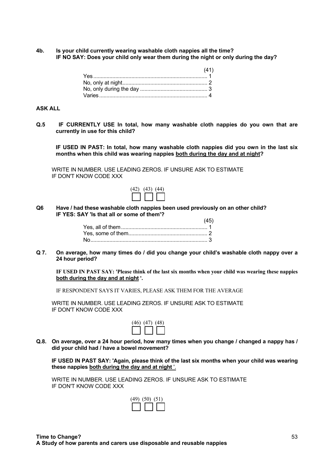**4b. Is your child currently wearing washable cloth nappies all the time? IF NO SAY: Does your child only wear them during the night or only during the day?**

| (41) |
|------|
|      |
|      |
|      |
|      |

### **ASK ALL**

**Q.5 IF CURRENTLY USE In total, how many washable cloth nappies do you own that are currently in use for this child?**

 **IF USED IN PAST: In total, how many washable cloth nappies did you own in the last six months when this child was wearing nappies both during the day and at night?**

WRITE IN NUMBER. USE LEADING ZEROS. IF UNSURE ASK TO ESTIMATE IF DON'T KNOW CODE XXX

|  | $(42)$ $(43)$ $(44)$ |  |
|--|----------------------|--|
|  | $\Box$ $\Box$ $\Box$ |  |

**Q6 Have / had these washable cloth nappies been used previously on an other child? IF YES: SAY 'Is that all or some of them'?**  $\lambda$ <sub>5</sub> $\pm$ 

**Q 7. On average, how many times do / did you change your child's washable cloth nappy over a 24 hour period?**

**IF USED IN PAST SAY: 'Please think of the last six months when your child was wearing these nappies both during the day and at night '.**

IF RESPONDENT SAYS IT VARIES, PLEASE ASK THEM FOR THE AVERAGE

WRITE IN NUMBER. USE LEADING ZEROS. IF UNSURE ASK TO ESTIMATE IF DON'T KNOW CODE XXX

| $(46)$ $(47)$ $(48)$ |
|----------------------|
|                      |

**Q.8. On average, over a 24 hour period, how many times when you change / changed a nappy has / did your child had / have a bowel movement?**

**IF USED IN PAST SAY: 'Again, please think of the last six months when your child was wearing these nappies both during the day and at night** '.

WRITE IN NUMBER. USE LEADING ZEROS. IF UNSURE ASK TO ESTIMATE IF DON'T KNOW CODE XXX

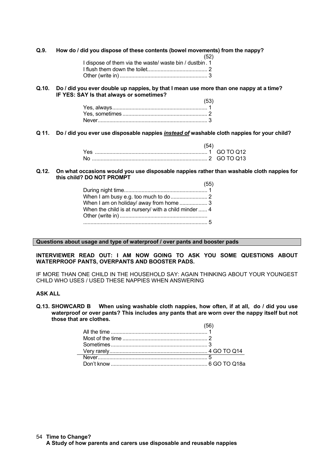**Q.9. How do / did you dispose of these contents (bowel movements) from the nappy?**

| (52)                                                    |
|---------------------------------------------------------|
| I dispose of them via the waste/ waste bin / dustbin. 1 |
|                                                         |
|                                                         |

#### **Q.10. Do / did you ever double up nappies, by that I mean use more than one nappy at a time? IF YES: SAY Is that always or sometimes?**

| (53) |
|------|
|      |
|      |
|      |

**Q 11. Do / did you ever use disposable nappies** *instead of* **washable cloth nappies for your child?**

| Yes |  |
|-----|--|
|     |  |

#### **Q.12. On what occasions would you use disposable nappies rather than washable cloth nappies for this child? DO NOT PROMPT**  $(EF)$

|                                                      | ເວບ) |
|------------------------------------------------------|------|
|                                                      |      |
|                                                      |      |
| When I am on holiday/ away from home  3              |      |
| When the child is at nursery/ with a child minder  4 |      |
|                                                      |      |
|                                                      |      |
|                                                      |      |

**Questions about usage and type of waterproof / over pants and booster pads**

### **INTERVIEWER READ OUT: I AM NOW GOING TO ASK YOU SOME QUESTIONS ABOUT WATERPROOF PANTS, OVERPANTS AND BOOSTER PADS.**

IF MORE THAN ONE CHILD IN THE HOUSEHOLD SAY: AGAIN THINKING ABOUT YOUR YOUNGEST CHILD WHO USES / USED THESE NAPPIES WHEN ANSWERING

### **ASK ALL**

**Q.13. SHOWCARD B When using washable cloth nappies, how often, if at all, do / did you use waterproof or over pants? This includes any pants that are worn over the nappy itself but not those that are clothes.**  $(56)$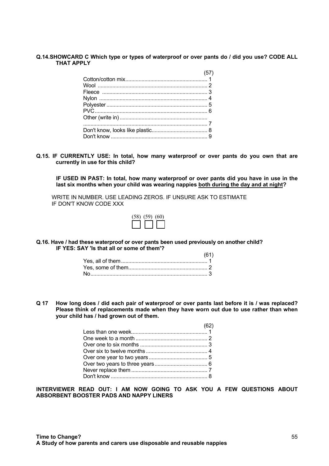### **Q.14.SHOWCARD C Which type or types of waterproof or over pants do / did you use? CODE ALL THAT APPLY**

| (57) |
|------|
|      |
|      |
|      |
|      |
|      |
|      |
|      |
|      |
|      |
|      |

**Q.15. IF CURRENTLY USE: In total, how many waterproof or over pants do you own that are currently in use for this child?**

**IF USED IN PAST: In total, how many waterproof or over pants did you have in use in the last six months when your child was wearing nappies both during the day and at night?**

WRITE IN NUMBER. USE LEADING ZEROS. IF UNSURE ASK TO ESTIMATE IF DON'T KNOW CODE XXX

| $(58)$ $(59)$ $(60)$          |
|-------------------------------|
| $\square$ $\square$ $\square$ |

**Q.16. Have / had these waterproof or over pants been used previously on another child? IF YES: SAY 'Is that all or some of them'?**

| (61) |
|------|
|      |
|      |
|      |

**Q 17 How long does / did each pair of waterproof or over pants last before it is / was replaced? Please think of replacements made when they have worn out due to use rather than when your child has / had grown out of them.**

 $(62)$ 

| 10Z I |
|-------|
|       |
|       |
|       |
|       |
|       |
|       |
|       |
|       |
|       |

**INTERVIEWER READ OUT: I AM NOW GOING TO ASK YOU A FEW QUESTIONS ABOUT ABSORBENT BOOSTER PADS AND NAPPY LINERS**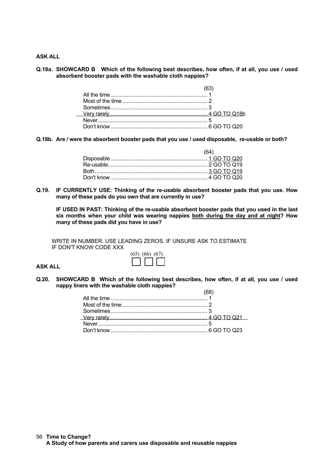**ASK ALL**

### **Q.18a. SHOWCARD B Which of the following best describes, how often, if at all, you use / used absorbent booster pads with the washable cloth nappies?**

**Q.18b. Are / were the absorbent booster pads that you use / used disposable, re-usable or both?**

| (64) |
|------|
|      |
|      |
|      |
|      |

**Q.19. IF CURRENTLY USE: Thinking of the re-usable absorbent booster pads that you use. How many of these pads do you own that are currently in use?**

**IF USED IN PAST: Thinking of the re-usable absorbent booster pads that you used in the last six months when your child was wearing nappies both during the day and at night? How many of these pads did you have in use?**

WRITE IN NUMBER. USE LEADING ZEROS. IF UNSURE ASK TO ESTIMATE IF DON'T KNOW CODE XXX

# (65) (66) (67)

### **ASK ALL**

**Q.20. SHOWCARD B Which of the following best describes, how often, if at all, you use / used nappy liners with the washable cloth nappies?**  $(68)$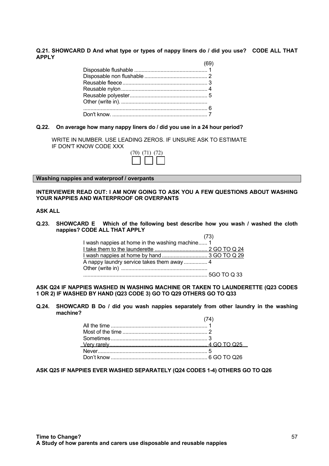#### **Q.21. SHOWCARD D And what type or types of nappy liners do / did you use? CODE ALL THAT APPLY**  $\sqrt{2}$

| (69) |
|------|
|      |
|      |
|      |
|      |
|      |
|      |
|      |
|      |
|      |

### **Q.22. On average how many nappy liners do / did you use in a 24 hour period?**

WRITE IN NUMBER. USE LEADING ZEROS. IF UNSURE ASK TO ESTIMATE IF DON'T KNOW CODE XXX

|  | $(70)$ $(71)$ $(72)$<br>$\Box$ $\Box$ $\Box$ |
|--|----------------------------------------------|

**Washing nappies and waterproof / overpants**

### **INTERVIEWER READ OUT: I AM NOW GOING TO ASK YOU A FEW QUESTIONS ABOUT WASHING YOUR NAPPIES AND WATERPROOF OR OVERPANTS**

### **ASK ALL**

**Q.23. SHOWCARD E Which of the following best describe how you wash / washed the cloth nappies? CODE ALL THAT APPLY**  $(72)$ 

|                                                 | ,,,, |
|-------------------------------------------------|------|
| I wash nappies at home in the washing machine 1 |      |
|                                                 |      |
|                                                 |      |
| A nappy laundry service takes them away  4      |      |
|                                                 |      |
|                                                 |      |

### **ASK Q24 IF NAPPIES WASHED IN WASHING MACHINE OR TAKEN TO LAUNDERETTE (Q23 CODES 1 OR 2) IF WASHED BY HAND (Q23 CODE 3) GO TO Q29 OTHERS GO TO Q33**

**Q.24. SHOWCARD B Do / did you wash nappies separately from other laundry in the washing machine?**  $(74)$ 

**ASK Q25 IF NAPPIES EVER WASHED SEPARATELY (Q24 CODES 1-4) OTHERS GO TO Q26**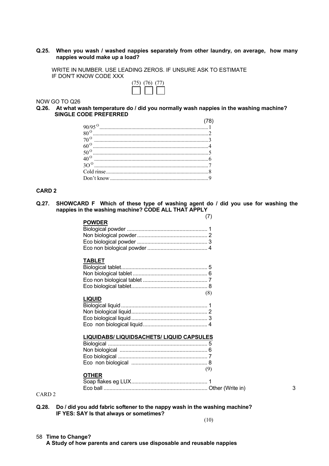### **Q.25. When you wash / washed nappies separately from other laundry, on average, how many nappies would make up a load?**

WRITE IN NUMBER. USE LEADING ZEROS. IF UNSURE ASK TO ESTIMATE IF DON'T KNOW CODE XXX

| $(75)$ $(76)$ $(77)$ |  |
|----------------------|--|
| $\square$            |  |

NOW GO TO Q26

#### **Q.26. At what wash temperature do / did you normally wash nappies in the washing machine? SINGLE CODE PREFERRED**

| $70^{\circ}$ |  |
|--------------|--|
|              |  |
|              |  |
| $40^{\circ}$ |  |
|              |  |
|              |  |
|              |  |

### **CARD 2**

**Q.27. SHOWCARD F Which of these type of washing agent do / did you use for washing the nappies in the washing machine? CODE ALL THAT APPLY**

| (7)                                              |   |
|--------------------------------------------------|---|
| <b>POWDER</b>                                    |   |
|                                                  |   |
|                                                  |   |
|                                                  |   |
|                                                  |   |
| <b>TABLET</b>                                    |   |
|                                                  |   |
|                                                  |   |
|                                                  |   |
|                                                  |   |
|                                                  |   |
| (8)<br><b>LIQUID</b>                             |   |
|                                                  |   |
|                                                  |   |
|                                                  |   |
|                                                  |   |
|                                                  |   |
| <b>LIQUIDABS/ LIQUIDSACHETS/ LIQUID CAPSULES</b> |   |
|                                                  |   |
|                                                  |   |
|                                                  |   |
|                                                  |   |
| (9)                                              |   |
| <b>OTHER</b>                                     |   |
|                                                  |   |
|                                                  | 3 |
|                                                  |   |

CARD 2

**Q.28. Do / did you add fabric softener to the nappy wash in the washing machine? IF YES: SAY Is that always or sometimes?**

(10)

### **Time to Change?** 58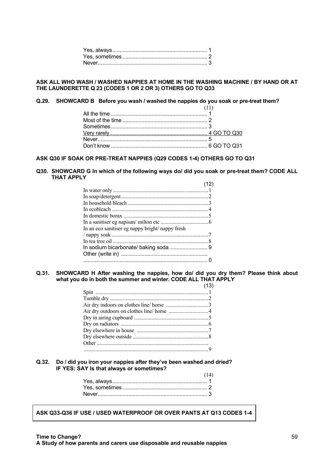### **ASK ALL WHO WASH / WASHED NAPPIES AT HOME IN THE WASHING MACHINE / BY HAND OR AT THE LAUNDERETTE Q 23 (CODES 1 OR 2 OR 3) OTHERS GO TO Q33**

**Q.29. SHOWCARD B Before you wash / washed the nappies do you soak or pre-treat them?**

### **ASK Q30 IF SOAK OR PRE-TREAT NAPPIES (Q29 CODES 1-4) OTHERS GO TO Q31**

#### **Q30. SHOWCARD G In which of the following ways do/ did you soak or pre-treat them? CODE ALL THAT APPLY**  $(10)$

| In an eco sanitiser eg nappy bright/nappy fresh |  |
|-------------------------------------------------|--|
|                                                 |  |
|                                                 |  |
|                                                 |  |
|                                                 |  |
|                                                 |  |
|                                                 |  |

### **Q.31. SHOWCARD H After washing the nappies, how do/ did you dry them? Please think about what you do in both the summer and winter. CODE ALL THAT APPLY**

### **Q.32. Do / did you iron your nappies after they've been washed and dried? IF YES: SAY Is that always or sometimes?**

| (14) |
|------|
|      |
|      |
|      |

**ASK Q33-Q36 IF USE / USED WATERPROOF OR OVER PANTS AT Q13 CODES 1-4**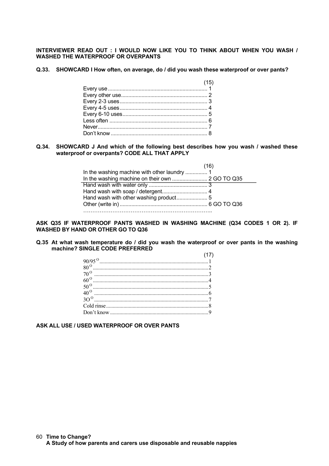**INTERVIEWER READ OUT : I WOULD NOW LIKE YOU TO THINK ABOUT WHEN YOU WASH / WASHED THE WATERPROOF OR OVERPANTS**

 $(15)$ 

**Q.33. SHOWCARD I How often, on average, do / did you wash these waterproof or over pants?**

| (15) |  |
|------|--|
|      |  |
|      |  |
|      |  |
|      |  |
|      |  |
|      |  |
|      |  |
|      |  |
|      |  |

### **Q.34. SHOWCARD J And which of the following best describes how you wash / washed these waterproof or overpants? CODE ALL THAT APPLY**

| .16 <sup>1</sup> |
|------------------|
|                  |
|                  |
|                  |
|                  |
|                  |
|                  |
|                  |

**ASK Q35 IF WATERPROOF PANTS WASHED IN WASHING MACHINE (Q34 CODES 1 OR 2). IF WASHED BY HAND OR OTHER GO TO Q36**

**Q.35 At what wash temperature do / did you wash the waterproof or over pants in the washing machine? SINGLE CODE PREFERRED**  $(17)$ 

**ASK ALL USE / USED WATERPROOF OR OVER PANTS**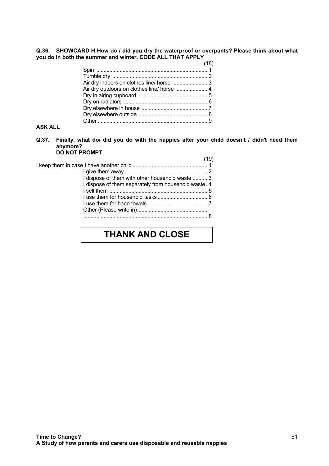**Q.36. SHOWCARD H How do / did you dry the waterproof or overpants? Please think about what you do in both the summer and winter. CODE ALL THAT APPLY**

| Air dry indoors on clothes line/ horse  3  |  |
|--------------------------------------------|--|
| Air dry outdoors on clothes line/ horse  4 |  |
|                                            |  |
|                                            |  |
|                                            |  |
|                                            |  |
|                                            |  |
|                                            |  |

### **ASK ALL**

**Q.37. Finally, what do/ did you do with the nappies after your child doesn't / didn't need them anymore? DO NOT PROMPT**

|                                                      | (19) |
|------------------------------------------------------|------|
|                                                      |      |
|                                                      |      |
| I dispose of them with other household waste  3      |      |
| I dispose of them separately from household waste. 4 |      |
|                                                      |      |
|                                                      |      |
|                                                      |      |
|                                                      |      |
|                                                      |      |
|                                                      |      |

## **THANK AND CLOSE**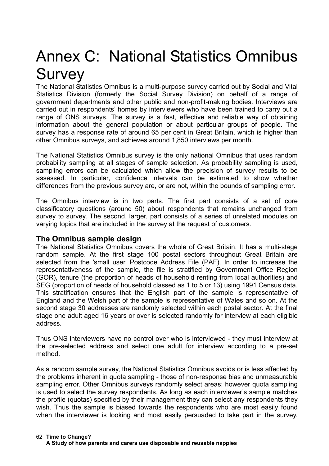# Annex C: National Statistics Omnibus Survey

The National Statistics Omnibus is a multi-purpose survey carried out by Social and Vital Statistics Division (formerly the Social Survey Division) on behalf of a range of government departments and other public and non-profit-making bodies. Interviews are carried out in respondents' homes by interviewers who have been trained to carry out a range of ONS surveys. The survey is a fast, effective and reliable way of obtaining information about the general population or about particular groups of people. The survey has a response rate of around 65 per cent in Great Britain, which is higher than other Omnibus surveys, and achieves around 1,850 interviews per month.

The National Statistics Omnibus survey is the only national Omnibus that uses random probability sampling at all stages of sample selection. As probability sampling is used, sampling errors can be calculated which allow the precision of survey results to be assessed. In particular, confidence intervals can be estimated to show whether differences from the previous survey are, or are not, within the bounds of sampling error.

The Omnibus interview is in two parts. The first part consists of a set of core classificatory questions (around 50) about respondents that remains unchanged from survey to survey. The second, larger, part consists of a series of unrelated modules on varying topics that are included in the survey at the request of customers.

## **The Omnibus sample design**

The National Statistics Omnibus covers the whole of Great Britain. It has a multi-stage random sample. At the first stage 100 postal sectors throughout Great Britain are selected from the 'small user' Postcode Address File (PAF). In order to increase the representativeness of the sample, the file is stratified by Government Office Region (GOR), tenure (the proportion of heads of household renting from local authorities) and SEG (proportion of heads of household classed as 1 to 5 or 13) using 1991 Census data. This stratification ensures that the English part of the sample is representative of England and the Welsh part of the sample is representative of Wales and so on. At the second stage 30 addresses are randomly selected within each postal sector. At the final stage one adult aged 16 years or over is selected randomly for interview at each eligible address.

Thus ONS interviewers have no control over who is interviewed - they must interview at the pre-selected address and select one adult for interview according to a pre-set method.

As a random sample survey, the National Statistics Omnibus avoids or is less affected by the problems inherent in quota sampling - those of non-response bias and unmeasurable sampling error. Other Omnibus surveys randomly select areas; however quota sampling is used to select the survey respondents. As long as each interviewer's sample matches the profile (quotas) specified by their management they can select any respondents they wish. Thus the sample is biased towards the respondents who are most easily found when the interviewer is looking and most easily persuaded to take part in the survey.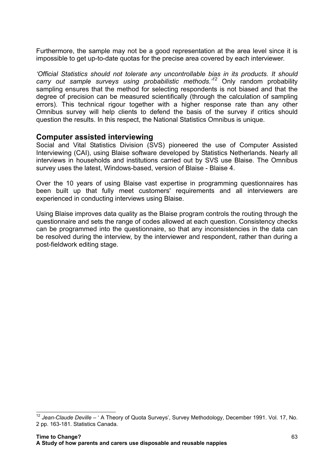Furthermore, the sample may not be a good representation at the area level since it is impossible to get up-to-date quotas for the precise area covered by each interviewer.

*'Official Statistics should not tolerate any uncontrollable bias in its products. It should carry out sample surveys using probabilistic methods.'<sup>12</sup>* Only random probability sampling ensures that the method for selecting respondents is not biased and that the degree of precision can be measured scientifically (through the calculation of sampling errors). This technical rigour together with a higher response rate than any other Omnibus survey will help clients to defend the basis of the survey if critics should question the results. In this respect, the National Statistics Omnibus is unique.

### **Computer assisted interviewing**

Social and Vital Statistics Division (SVS) pioneered the use of Computer Assisted Interviewing (CAI), using Blaise software developed by Statistics Netherlands. Nearly all interviews in households and institutions carried out by SVS use Blaise. The Omnibus survey uses the latest, Windows-based, version of Blaise - Blaise 4.

Over the 10 years of using Blaise vast expertise in programming questionnaires has been built up that fully meet customers' requirements and all interviewers are experienced in conducting interviews using Blaise.

Using Blaise improves data quality as the Blaise program controls the routing through the questionnaire and sets the range of codes allowed at each question. Consistency checks can be programmed into the questionnaire, so that any inconsistencies in the data can be resolved during the interview, by the interviewer and respondent, rather than during a post-fieldwork editing stage.

j

<sup>12</sup> *Jean-Claude Deville* – ' A Theory of Quota Surveys', Survey Methodology, December 1991. Vol. 17, No. 2 pp. 163-181. Statistics Canada.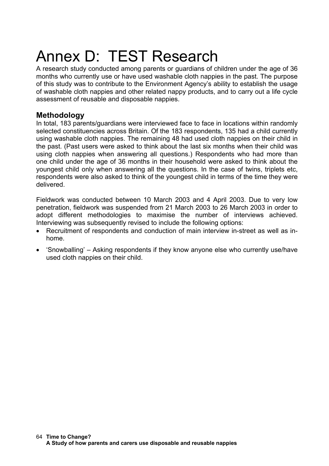# Annex D: TEST Research

A research study conducted among parents or guardians of children under the age of 36 months who currently use or have used washable cloth nappies in the past. The purpose of this study was to contribute to the Environment Agency's ability to establish the usage of washable cloth nappies and other related nappy products, and to carry out a life cycle assessment of reusable and disposable nappies.

## **Methodology**

In total, 183 parents/guardians were interviewed face to face in locations within randomly selected constituencies across Britain. Of the 183 respondents, 135 had a child currently using washable cloth nappies. The remaining 48 had used cloth nappies on their child in the past. (Past users were asked to think about the last six months when their child was using cloth nappies when answering all questions.) Respondents who had more than one child under the age of 36 months in their household were asked to think about the youngest child only when answering all the questions. In the case of twins, triplets etc, respondents were also asked to think of the youngest child in terms of the time they were delivered.

Fieldwork was conducted between 10 March 2003 and 4 April 2003. Due to very low penetration, fieldwork was suspended from 21 March 2003 to 26 March 2003 in order to adopt different methodologies to maximise the number of interviews achieved. Interviewing was subsequently revised to include the following options:

- Recruitment of respondents and conduction of main interview in-street as well as inhome.
- 'Snowballing' Asking respondents if they know anyone else who currently use/have used cloth nappies on their child.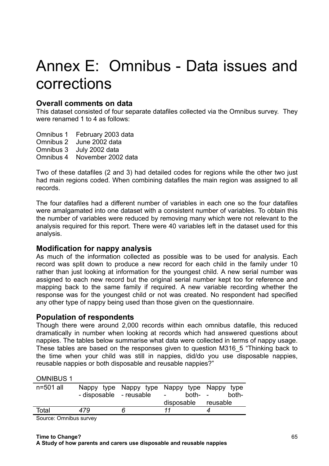# Annex E: Omnibus - Data issues and corrections

## **Overall comments on data**

This dataset consisted of four separate datafiles collected via the Omnibus survey. They were renamed 1 to 4 as follows:

Omnibus 1 February 2003 data Omnibus 2 June 2002 data Omnibus 3 July 2002 data Omnibus 4 November 2002 data

Two of these datafiles (2 and 3) had detailed codes for regions while the other two just had main regions coded. When combining datafiles the main region was assigned to all records.

The four datafiles had a different number of variables in each one so the four datafiles were amalgamated into one dataset with a consistent number of variables. To obtain this the number of variables were reduced by removing many which were not relevant to the analysis required for this report. There were 40 variables left in the dataset used for this analysis.

## **Modification for nappy analysis**

As much of the information collected as possible was to be used for analysis. Each record was split down to produce a new record for each child in the family under 10 rather than just looking at information for the youngest child. A new serial number was assigned to each new record but the original serial number kept too for reference and mapping back to the same family if required. A new variable recording whether the response was for the youngest child or not was created. No respondent had specified any other type of nappy being used than those given on the questionnaire.

## **Population of respondents**

Though there were around 2,000 records within each omnibus datafile, this reduced dramatically in number when looking at records which had answered questions about nappies. The tables below summarise what data were collected in terms of nappy usage. These tables are based on the responses given to question M316\_5 "Thinking back to the time when your child was still in nappies, did/do you use disposable nappies, reusable nappies or both disposable and reusable nappies?"

OMNIBUS 1

| $n=501$ all             | - disposable - reusable |   | Nappy type Nappy type Nappy type Nappy type<br>both- -<br>$\sim$ $-$ | both- |
|-------------------------|-------------------------|---|----------------------------------------------------------------------|-------|
|                         |                         |   |                                                                      |       |
|                         |                         |   | disposable reusable                                                  |       |
| Total                   | 479                     | ĥ | 11                                                                   |       |
| $\sim$ $\sim$<br>$\sim$ |                         |   |                                                                      |       |

Source: Omnibus survey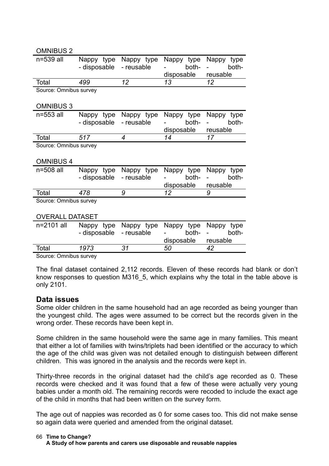| <b>OMNIBUS 2</b>                           |                            |                                     |                                   |                                 |  |  |  |
|--------------------------------------------|----------------------------|-------------------------------------|-----------------------------------|---------------------------------|--|--|--|
| n=539 all                                  | Nappy type<br>- disposable | Nappy type<br>- reusable            | Nappy type<br>both-<br>disposable | Nappy type<br>both-<br>reusable |  |  |  |
| Total                                      | 499                        | 12                                  | 13                                | 12                              |  |  |  |
| Source: Omnibus survey                     |                            |                                     |                                   |                                 |  |  |  |
| <b>OMNIBUS 3</b>                           |                            |                                     |                                   |                                 |  |  |  |
| n=553 all                                  | Nappy type<br>- disposable | Nappy type<br>- reusable            | Nappy type<br>both-<br>disposable | Nappy type<br>both-<br>reusable |  |  |  |
| Total                                      | 517                        | $\overline{4}$                      | 14                                | 17                              |  |  |  |
| Source: Omnibus survey<br><b>OMNIBUS 4</b> |                            |                                     |                                   |                                 |  |  |  |
| n=508 all                                  | - disposable               | Nappy type Nappy type<br>- reusable | Nappy type<br>both-<br>disposable | Nappy type<br>both-<br>reusable |  |  |  |
| Total                                      | 478                        | 9                                   | 12                                | 9                               |  |  |  |
| Source: Omnibus survey                     |                            |                                     |                                   |                                 |  |  |  |
| <b>OVERALL DATASET</b>                     |                            |                                     |                                   |                                 |  |  |  |
| n=2101 all                                 | Nappy type<br>- disposable | Nappy type<br>- reusable            | Nappy type<br>both-<br>disposable | Nappy type<br>both-<br>reusable |  |  |  |
| Total                                      | 1973                       | 31                                  | 50                                | 42                              |  |  |  |
| Source: Omnibus survey                     |                            |                                     |                                   |                                 |  |  |  |

Source: Omnibus survey

The final dataset contained 2,112 records. Eleven of these records had blank or don't know responses to question M316 5, which explains why the total in the table above is only 2101.

## **Data issues**

Some older children in the same household had an age recorded as being younger than the youngest child. The ages were assumed to be correct but the records given in the wrong order. These records have been kept in.

Some children in the same household were the same age in many families. This meant that either a lot of families with twins/triplets had been identified or the accuracy to which the age of the child was given was not detailed enough to distinguish between different children. This was ignored in the analysis and the records were kept in.

Thirty-three records in the original dataset had the child's age recorded as 0. These records were checked and it was found that a few of these were actually very young babies under a month old. The remaining records were recoded to include the exact age of the child in months that had been written on the survey form.

The age out of nappies was recorded as 0 for some cases too. This did not make sense so again data were queried and amended from the original dataset.

### **Time to Change?** 66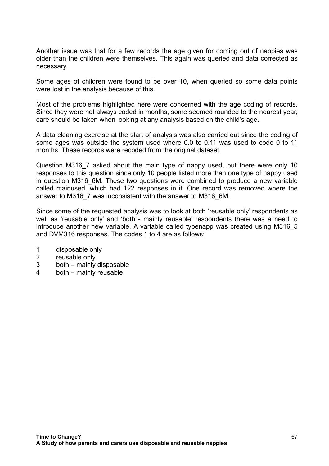Another issue was that for a few records the age given for coming out of nappies was older than the children were themselves. This again was queried and data corrected as necessary.

Some ages of children were found to be over 10, when queried so some data points were lost in the analysis because of this.

Most of the problems highlighted here were concerned with the age coding of records. Since they were not always coded in months, some seemed rounded to the nearest year, care should be taken when looking at any analysis based on the child's age.

A data cleaning exercise at the start of analysis was also carried out since the coding of some ages was outside the system used where 0.0 to 0.11 was used to code 0 to 11 months. These records were recoded from the original dataset.

Question M316 7 asked about the main type of nappy used, but there were only 10 responses to this question since only 10 people listed more than one type of nappy used in question M316 6M. These two questions were combined to produce a new variable called mainused, which had 122 responses in it. One record was removed where the answer to M316\_7 was inconsistent with the answer to M316\_6M.

Since some of the requested analysis was to look at both 'reusable only' respondents as well as 'reusable only' and 'both - mainly reusable' respondents there was a need to introduce another new variable. A variable called typenapp was created using M316\_5 and DVM316 responses. The codes 1 to 4 are as follows:

- 1 disposable only
- 2 reusable only
- 3 both mainly disposable
- 4 both mainly reusable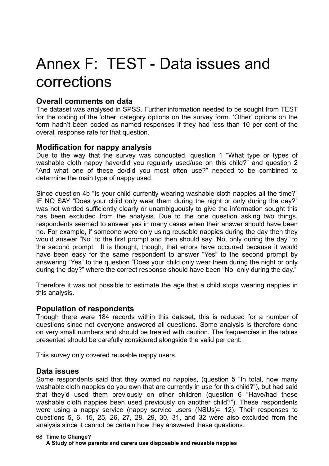# Annex F: TEST - Data issues and corrections

## **Overall comments on data**

The dataset was analysed in SPSS. Further information needed to be sought from TEST for the coding of the 'other' category options on the survey form. 'Other' options on the form hadn't been coded as named responses if they had less than 10 per cent of the overall response rate for that question.

## **Modification for nappy analysis**

Due to the way that the survey was conducted, question 1 "What type or types of washable cloth nappy have/did you regularly used/use on this child?" and question 2 "And what one of these do/did you most often use?" needed to be combined to determine the main type of nappy used.

Since question 4b "Is your child currently wearing washable cloth nappies all the time?" IF NO SAY "Does your child only wear them during the night or only during the day?" was not worded sufficiently clearly or unambiguously to give the information sought this has been excluded from the analysis. Due to the one question asking two things, respondents seemed to answer yes in many cases when their answer should have been no. For example, if someone were only using reusable nappies during the day then they would answer "No" to the first prompt and then should say "No, only during the day" to the second prompt. It is thought, though, that errors have occurred because it would have been easy for the same respondent to answer "Yes" to the second prompt by answering "Yes" to the question "Does your child only wear them during the night or only during the day?" where the correct response should have been "No, only during the day."

Therefore it was not possible to estimate the age that a child stops wearing nappies in this analysis.

## **Population of respondents**

Though there were 184 records within this dataset, this is reduced for a number of questions since not everyone answered all questions. Some analysis is therefore done on very small numbers and should be treated with caution. The frequencies in the tables presented should be carefully considered alongside the valid per cent.

This survey only covered reusable nappy users.

## **Data issues**

Some respondents said that they owned no nappies, (question 5 "In total, how many washable cloth nappies do you own that are currently in use for this child?"), but had said that they'd used them previously on other children (question 6 "Have/had these washable cloth nappies been used previously on another child?"). These respondents were using a nappy service (nappy service users (NSUs)= 12). Their responses to questions 5, 6, 15, 25, 26, 27, 28, 29, 30, 31, and 32 were also excluded from the analysis since it cannot be certain how they answered these questions.

### **Time to Change?** 68